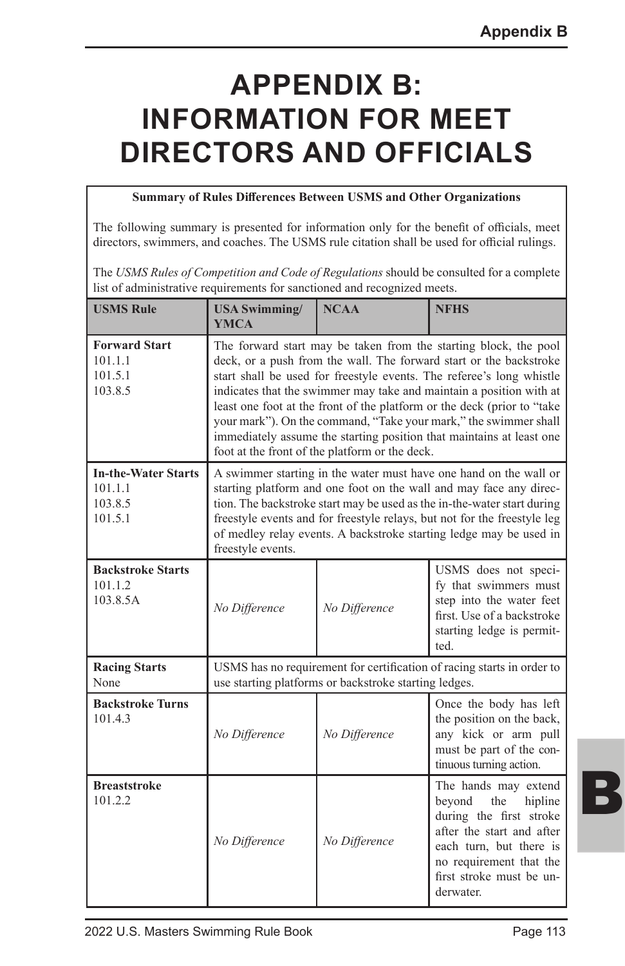# **APPENDIX B: INFORMATION FOR MEET DIRECTORS AND OFFICIALS**

#### **Summary of Rules Differences Between USMS and Other Organizations**

The following summary is presented for information only for the benefit of officials, meet directors, swimmers, and coaches. The USMS rule citation shall be used for official rulings.

The *USMS Rules of Competition and Code of Regulations* should be consulted for a complete list of administrative requirements for sanctioned and recognized meets.

| <b>USMS Rule</b>                                            | <b>USA Swimming/</b><br><b>YMCA</b>                                                                                                                                                                                                                                                                                                                                                                                                                                                                                                                            | <b>NCAA</b>   | <b>NFHS</b>                                                                                                                                                                                             |  |  |  |  |  |
|-------------------------------------------------------------|----------------------------------------------------------------------------------------------------------------------------------------------------------------------------------------------------------------------------------------------------------------------------------------------------------------------------------------------------------------------------------------------------------------------------------------------------------------------------------------------------------------------------------------------------------------|---------------|---------------------------------------------------------------------------------------------------------------------------------------------------------------------------------------------------------|--|--|--|--|--|
| <b>Forward Start</b><br>101.1.1<br>101.5.1<br>103.8.5       | The forward start may be taken from the starting block, the pool<br>deck, or a push from the wall. The forward start or the backstroke<br>start shall be used for freestyle events. The referee's long whistle<br>indicates that the swimmer may take and maintain a position with at<br>least one foot at the front of the platform or the deck (prior to "take<br>your mark"). On the command, "Take your mark," the swimmer shall<br>immediately assume the starting position that maintains at least one<br>foot at the front of the platform or the deck. |               |                                                                                                                                                                                                         |  |  |  |  |  |
| <b>In-the-Water Starts</b><br>101.1.1<br>103.8.5<br>101.5.1 | A swimmer starting in the water must have one hand on the wall or<br>starting platform and one foot on the wall and may face any direc-<br>tion. The backstroke start may be used as the in-the-water start during<br>freestyle events and for freestyle relays, but not for the freestyle leg<br>of medley relay events. A backstroke starting ledge may be used in<br>freestyle events.                                                                                                                                                                      |               |                                                                                                                                                                                                         |  |  |  |  |  |
| <b>Backstroke Starts</b><br>101.1.2<br>103.8.5A             | No Difference                                                                                                                                                                                                                                                                                                                                                                                                                                                                                                                                                  | No Difference | USMS does not speci-<br>fy that swimmers must<br>step into the water feet<br>first. Use of a backstroke<br>starting ledge is permit-<br>ted.                                                            |  |  |  |  |  |
| <b>Racing Starts</b><br>None                                | USMS has no requirement for certification of racing starts in order to<br>use starting platforms or backstroke starting ledges.                                                                                                                                                                                                                                                                                                                                                                                                                                |               |                                                                                                                                                                                                         |  |  |  |  |  |
| <b>Backstroke Turns</b><br>101.4.3                          | No Difference                                                                                                                                                                                                                                                                                                                                                                                                                                                                                                                                                  | No Difference | Once the body has left<br>the position on the back,<br>any kick or arm pull<br>must be part of the con-<br>tinuous turning action.                                                                      |  |  |  |  |  |
| <b>Breaststroke</b><br>101.2.2                              | No Difference                                                                                                                                                                                                                                                                                                                                                                                                                                                                                                                                                  | No Difference | The hands may extend<br>beyond<br>the<br>hipline<br>during the first stroke<br>after the start and after<br>each turn, but there is<br>no requirement that the<br>first stroke must be un-<br>derwater. |  |  |  |  |  |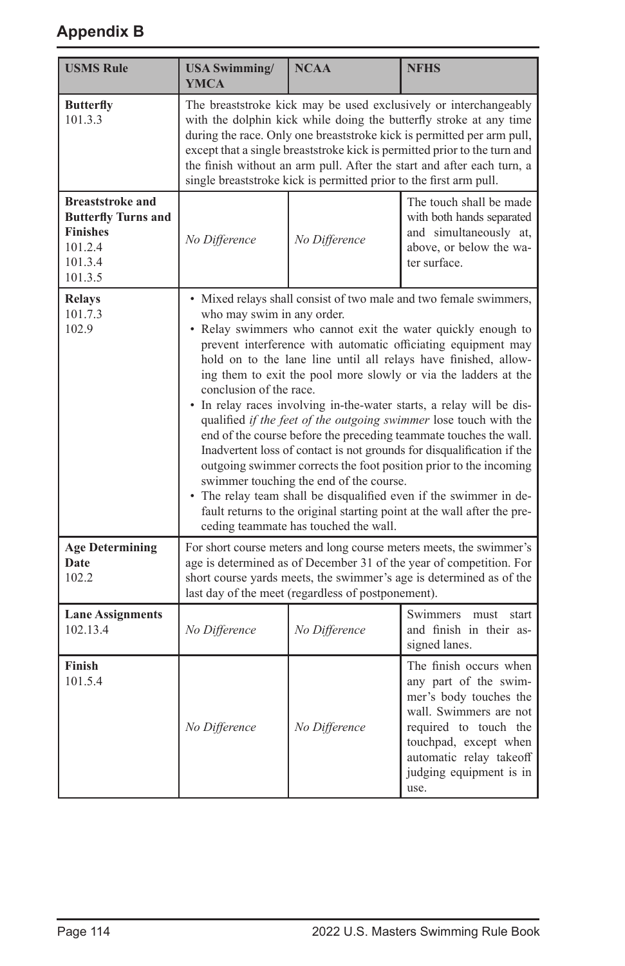| <b>USMS Rule</b>                                                                                          | <b>USA Swimming/</b><br>YMCA                                                                                                                                                                                                                                                                                                                                                                                                                                                                                                                                                                                                                                                                                                                                                                                                                                                                                                                                                                           | <b>NCAA</b>                                        | <b>NFHS</b>                                                                                                                                                                                                         |  |  |  |  |  |
|-----------------------------------------------------------------------------------------------------------|--------------------------------------------------------------------------------------------------------------------------------------------------------------------------------------------------------------------------------------------------------------------------------------------------------------------------------------------------------------------------------------------------------------------------------------------------------------------------------------------------------------------------------------------------------------------------------------------------------------------------------------------------------------------------------------------------------------------------------------------------------------------------------------------------------------------------------------------------------------------------------------------------------------------------------------------------------------------------------------------------------|----------------------------------------------------|---------------------------------------------------------------------------------------------------------------------------------------------------------------------------------------------------------------------|--|--|--|--|--|
| <b>Butterfly</b><br>101.3.3                                                                               | The breaststroke kick may be used exclusively or interchangeably<br>with the dolphin kick while doing the butterfly stroke at any time<br>during the race. Only one breaststroke kick is permitted per arm pull,<br>except that a single breaststroke kick is permitted prior to the turn and<br>the finish without an arm pull. After the start and after each turn, a<br>single breaststroke kick is permitted prior to the first arm pull.                                                                                                                                                                                                                                                                                                                                                                                                                                                                                                                                                          |                                                    |                                                                                                                                                                                                                     |  |  |  |  |  |
| <b>Breaststroke and</b><br><b>Butterfly Turns and</b><br><b>Finishes</b><br>101.2.4<br>101.3.4<br>101.3.5 | No Difference                                                                                                                                                                                                                                                                                                                                                                                                                                                                                                                                                                                                                                                                                                                                                                                                                                                                                                                                                                                          | No Difference                                      | The touch shall be made<br>with both hands separated<br>and simultaneously at,<br>above, or below the wa-<br>ter surface.                                                                                           |  |  |  |  |  |
| <b>Relays</b><br>101.7.3<br>102.9                                                                         | • Mixed relays shall consist of two male and two female swimmers,<br>who may swim in any order.<br>• Relay swimmers who cannot exit the water quickly enough to<br>prevent interference with automatic officiating equipment may<br>hold on to the lane line until all relays have finished, allow-<br>ing them to exit the pool more slowly or via the ladders at the<br>conclusion of the race.<br>• In relay races involving in-the-water starts, a relay will be dis-<br>qualified if the feet of the outgoing swimmer lose touch with the<br>end of the course before the preceding teammate touches the wall.<br>Inadvertent loss of contact is not grounds for disqualification if the<br>outgoing swimmer corrects the foot position prior to the incoming<br>swimmer touching the end of the course.<br>• The relay team shall be disqualified even if the swimmer in de-<br>fault returns to the original starting point at the wall after the pre-<br>ceding teammate has touched the wall. |                                                    |                                                                                                                                                                                                                     |  |  |  |  |  |
| <b>Age Determining</b><br>Date<br>102.2                                                                   |                                                                                                                                                                                                                                                                                                                                                                                                                                                                                                                                                                                                                                                                                                                                                                                                                                                                                                                                                                                                        | last day of the meet (regardless of postponement). | For short course meters and long course meters meets, the swimmer's<br>age is determined as of December 31 of the year of competition. For<br>short course yards meets, the swimmer's age is determined as of the   |  |  |  |  |  |
| <b>Lane Assignments</b><br>102.13.4                                                                       | No Difference                                                                                                                                                                                                                                                                                                                                                                                                                                                                                                                                                                                                                                                                                                                                                                                                                                                                                                                                                                                          | No Difference                                      | Swimmers<br>must<br>start<br>and finish in their as-<br>signed lanes.                                                                                                                                               |  |  |  |  |  |
| Finish<br>101.5.4                                                                                         | No Difference                                                                                                                                                                                                                                                                                                                                                                                                                                                                                                                                                                                                                                                                                                                                                                                                                                                                                                                                                                                          | No Difference                                      | The finish occurs when<br>any part of the swim-<br>mer's body touches the<br>wall. Swimmers are not<br>required to touch the<br>touchpad, except when<br>automatic relay takeoff<br>judging equipment is in<br>use. |  |  |  |  |  |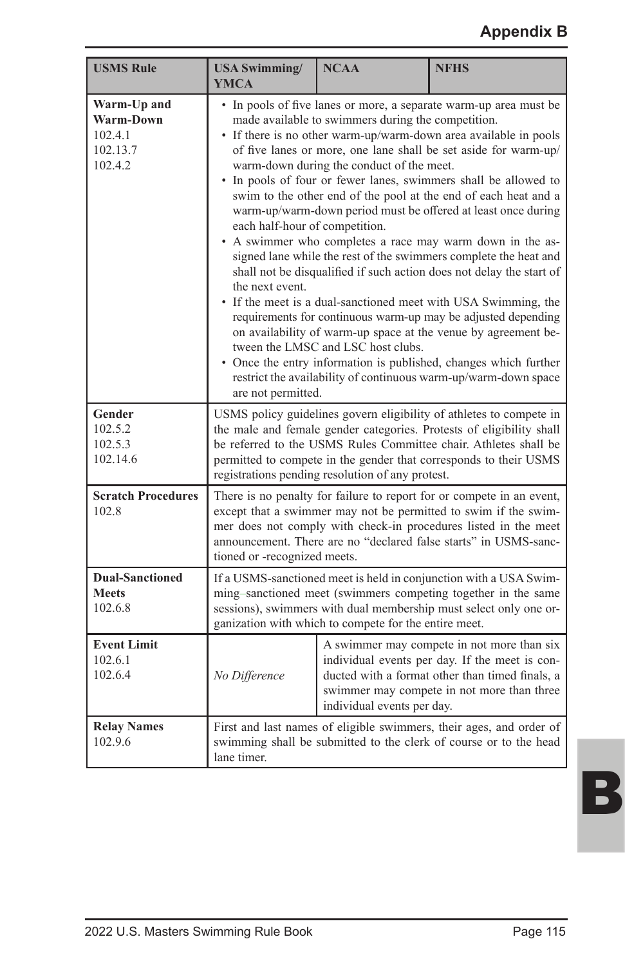| <b>USMS Rule</b>                                           | <b>USA Swimming/</b><br><b>YMCA</b>                                                                                                                                                                                                                                                                                                                                                                                                                                                                                                                                                                                                                                                                                                                                                                                                                                                                                                                                                                                                                                                                                                                                                    | <b>NCAA</b> | <b>NFHS</b>                                                                                                                              |  |  |  |
|------------------------------------------------------------|----------------------------------------------------------------------------------------------------------------------------------------------------------------------------------------------------------------------------------------------------------------------------------------------------------------------------------------------------------------------------------------------------------------------------------------------------------------------------------------------------------------------------------------------------------------------------------------------------------------------------------------------------------------------------------------------------------------------------------------------------------------------------------------------------------------------------------------------------------------------------------------------------------------------------------------------------------------------------------------------------------------------------------------------------------------------------------------------------------------------------------------------------------------------------------------|-------------|------------------------------------------------------------------------------------------------------------------------------------------|--|--|--|
| Warm-Up and<br>Warm-Down<br>102.4.1<br>102.13.7<br>102.4.2 | • In pools of five lanes or more, a separate warm-up area must be<br>made available to swimmers during the competition.<br>• If there is no other warm-up/warm-down area available in pools<br>of five lanes or more, one lane shall be set aside for warm-up/<br>warm-down during the conduct of the meet.<br>• In pools of four or fewer lanes, swimmers shall be allowed to<br>swim to the other end of the pool at the end of each heat and a<br>warm-up/warm-down period must be offered at least once during<br>each half-hour of competition.<br>A swimmer who completes a race may warm down in the as-<br>signed lane while the rest of the swimmers complete the heat and<br>shall not be disqualified if such action does not delay the start of<br>the next event.<br>• If the meet is a dual-sanctioned meet with USA Swimming, the<br>requirements for continuous warm-up may be adjusted depending<br>on availability of warm-up space at the venue by agreement be-<br>tween the LMSC and LSC host clubs.<br>• Once the entry information is published, changes which further<br>restrict the availability of continuous warm-up/warm-down space<br>are not permitted. |             |                                                                                                                                          |  |  |  |
| Gender<br>102.5.2<br>102.5.3<br>102.14.6                   | USMS policy guidelines govern eligibility of athletes to compete in<br>the male and female gender categories. Protests of eligibility shall<br>be referred to the USMS Rules Committee chair. Athletes shall be<br>permitted to compete in the gender that corresponds to their USMS<br>registrations pending resolution of any protest.                                                                                                                                                                                                                                                                                                                                                                                                                                                                                                                                                                                                                                                                                                                                                                                                                                               |             |                                                                                                                                          |  |  |  |
| <b>Scratch Procedures</b><br>102.8                         | There is no penalty for failure to report for or compete in an event,<br>except that a swimmer may not be permitted to swim if the swim-<br>mer does not comply with check-in procedures listed in the meet<br>announcement. There are no "declared false starts" in USMS-sanc-<br>tioned or -recognized meets.                                                                                                                                                                                                                                                                                                                                                                                                                                                                                                                                                                                                                                                                                                                                                                                                                                                                        |             |                                                                                                                                          |  |  |  |
| <b>Dual-Sanctioned</b><br><b>Meets</b><br>102.6.8          | If a USMS-sanctioned meet is held in conjunction with a USA Swim-<br>ming-sanctioned meet (swimmers competing together in the same<br>sessions), swimmers with dual membership must select only one or-<br>ganization with which to compete for the entire meet.                                                                                                                                                                                                                                                                                                                                                                                                                                                                                                                                                                                                                                                                                                                                                                                                                                                                                                                       |             |                                                                                                                                          |  |  |  |
| <b>Event Limit</b><br>102.6.1<br>102.6.4                   | A swimmer may compete in not more than six<br>individual events per day. If the meet is con-<br>No Difference<br>ducted with a format other than timed finals, a<br>swimmer may compete in not more than three<br>individual events per day.                                                                                                                                                                                                                                                                                                                                                                                                                                                                                                                                                                                                                                                                                                                                                                                                                                                                                                                                           |             |                                                                                                                                          |  |  |  |
| <b>Relay Names</b><br>102.9.6                              | lane timer.                                                                                                                                                                                                                                                                                                                                                                                                                                                                                                                                                                                                                                                                                                                                                                                                                                                                                                                                                                                                                                                                                                                                                                            |             | First and last names of eligible swimmers, their ages, and order of<br>swimming shall be submitted to the clerk of course or to the head |  |  |  |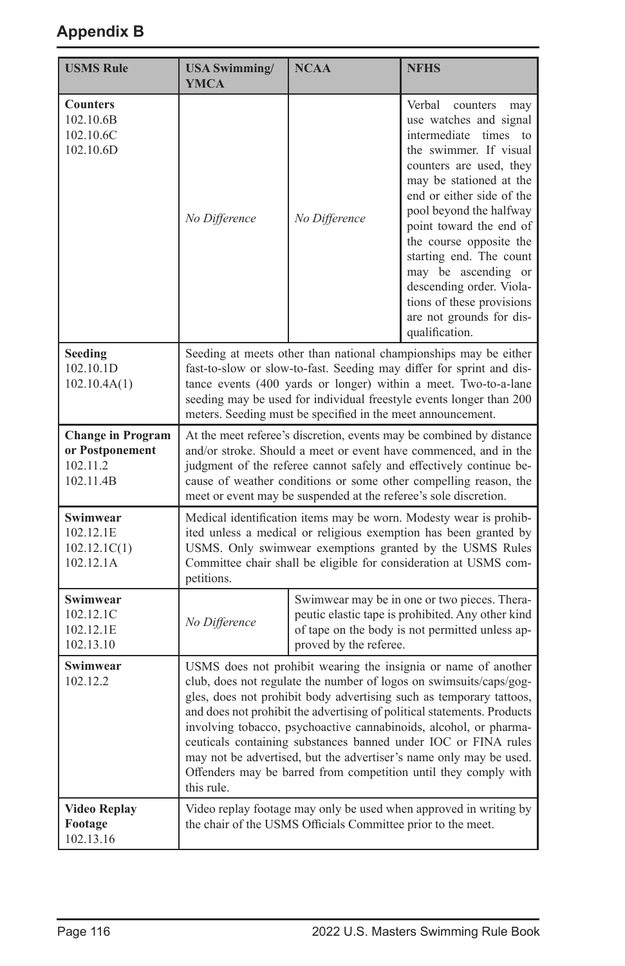| <b>USMS Rule</b>                                                     | <b>USA Swimming/</b><br><b>YMCA</b>                                                                                                                                                                                                                                                                                                                                                                                                                                                                                                                                                  | <b>NCAA</b>                                                                                                                                                                                                                                                           | <b>NFHS</b>                                                                                                                                                                                                                                                                                                                                                                                                                                       |  |  |  |  |
|----------------------------------------------------------------------|--------------------------------------------------------------------------------------------------------------------------------------------------------------------------------------------------------------------------------------------------------------------------------------------------------------------------------------------------------------------------------------------------------------------------------------------------------------------------------------------------------------------------------------------------------------------------------------|-----------------------------------------------------------------------------------------------------------------------------------------------------------------------------------------------------------------------------------------------------------------------|---------------------------------------------------------------------------------------------------------------------------------------------------------------------------------------------------------------------------------------------------------------------------------------------------------------------------------------------------------------------------------------------------------------------------------------------------|--|--|--|--|
| <b>Counters</b><br>102.10.6B<br>102.10.6C<br>102.10.6D               | No Difference                                                                                                                                                                                                                                                                                                                                                                                                                                                                                                                                                                        | No Difference                                                                                                                                                                                                                                                         | Verbal<br>counters<br>may<br>use watches and signal<br>intermediate times<br>$\mathsf{to}$<br>the swimmer. If visual<br>counters are used, they<br>may be stationed at the<br>end or either side of the<br>pool beyond the halfway<br>point toward the end of<br>the course opposite the<br>starting end. The count<br>may be ascending or<br>descending order. Viola-<br>tions of these provisions<br>are not grounds for dis-<br>qualification. |  |  |  |  |
| Seeding<br>102.10.1D<br>102.10.4A(1)                                 | Seeding at meets other than national championships may be either<br>fast-to-slow or slow-to-fast. Seeding may differ for sprint and dis-<br>tance events (400 yards or longer) within a meet. Two-to-a-lane<br>seeding may be used for individual freestyle events longer than 200<br>meters. Seeding must be specified in the meet announcement.                                                                                                                                                                                                                                    |                                                                                                                                                                                                                                                                       |                                                                                                                                                                                                                                                                                                                                                                                                                                                   |  |  |  |  |
| <b>Change in Program</b><br>or Postponement<br>102.11.2<br>102.11.4B | At the meet referee's discretion, events may be combined by distance<br>and/or stroke. Should a meet or event have commenced, and in the<br>judgment of the referee cannot safely and effectively continue be-<br>cause of weather conditions or some other compelling reason, the<br>meet or event may be suspended at the referee's sole discretion.                                                                                                                                                                                                                               |                                                                                                                                                                                                                                                                       |                                                                                                                                                                                                                                                                                                                                                                                                                                                   |  |  |  |  |
| Swimwear<br>102.12.1E<br>102.12.1C(1)<br>102.12.1A                   | petitions.                                                                                                                                                                                                                                                                                                                                                                                                                                                                                                                                                                           | Medical identification items may be worn. Modesty wear is prohib-<br>ited unless a medical or religious exemption has been granted by<br>USMS. Only swimwear exemptions granted by the USMS Rules<br>Committee chair shall be eligible for consideration at USMS com- |                                                                                                                                                                                                                                                                                                                                                                                                                                                   |  |  |  |  |
| Swimwear<br>102.12.1C<br>102.12.1E<br>102.13.10                      | No Difference                                                                                                                                                                                                                                                                                                                                                                                                                                                                                                                                                                        | proved by the referee.                                                                                                                                                                                                                                                | Swimwear may be in one or two pieces. Thera-<br>peutic elastic tape is prohibited. Any other kind<br>of tape on the body is not permitted unless ap-                                                                                                                                                                                                                                                                                              |  |  |  |  |
| Swimwear<br>102.12.2                                                 | USMS does not prohibit wearing the insignia or name of another<br>club, does not regulate the number of logos on swimsuits/caps/gog-<br>gles, does not prohibit body advertising such as temporary tattoos,<br>and does not prohibit the advertising of political statements. Products<br>involving tobacco, psychoactive cannabinoids, alcohol, or pharma-<br>ceuticals containing substances banned under IOC or FINA rules<br>may not be advertised, but the advertiser's name only may be used.<br>Offenders may be barred from competition until they comply with<br>this rule. |                                                                                                                                                                                                                                                                       |                                                                                                                                                                                                                                                                                                                                                                                                                                                   |  |  |  |  |
| <b>Video Replay</b><br>Footage<br>102.13.16                          |                                                                                                                                                                                                                                                                                                                                                                                                                                                                                                                                                                                      | the chair of the USMS Officials Committee prior to the meet.                                                                                                                                                                                                          | Video replay footage may only be used when approved in writing by                                                                                                                                                                                                                                                                                                                                                                                 |  |  |  |  |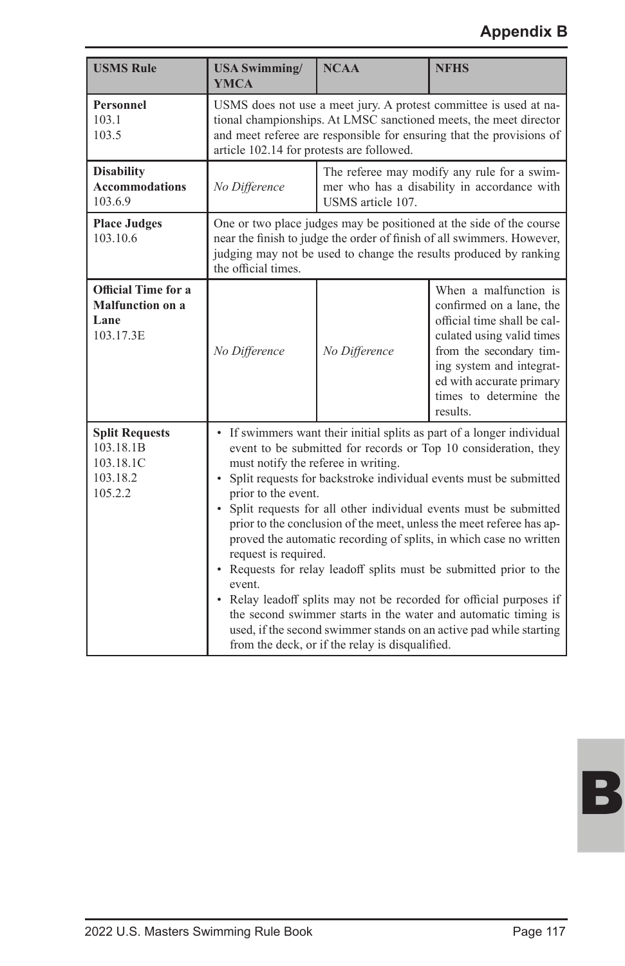| <b>USMS Rule</b>                                                       | <b>USA Swimming/</b><br><b>YMCA</b>                                                                                                                                                                                                                                                                                                                                                                                                                                                                                                                                                                                                                                                                                                                                                                                                                                          | <b>NCAA</b>       | <b>NFHS</b>                                                                                                                                                                                                                            |  |  |  |  |  |
|------------------------------------------------------------------------|------------------------------------------------------------------------------------------------------------------------------------------------------------------------------------------------------------------------------------------------------------------------------------------------------------------------------------------------------------------------------------------------------------------------------------------------------------------------------------------------------------------------------------------------------------------------------------------------------------------------------------------------------------------------------------------------------------------------------------------------------------------------------------------------------------------------------------------------------------------------------|-------------------|----------------------------------------------------------------------------------------------------------------------------------------------------------------------------------------------------------------------------------------|--|--|--|--|--|
| Personnel<br>103.1<br>103.5                                            | USMS does not use a meet jury. A protest committee is used at na-<br>tional championships. At LMSC sanctioned meets, the meet director<br>and meet referee are responsible for ensuring that the provisions of<br>article 102.14 for protests are followed.                                                                                                                                                                                                                                                                                                                                                                                                                                                                                                                                                                                                                  |                   |                                                                                                                                                                                                                                        |  |  |  |  |  |
| <b>Disability</b><br><b>Accommodations</b><br>103.6.9                  | No Difference                                                                                                                                                                                                                                                                                                                                                                                                                                                                                                                                                                                                                                                                                                                                                                                                                                                                | USMS article 107. | The referee may modify any rule for a swim-<br>mer who has a disability in accordance with                                                                                                                                             |  |  |  |  |  |
| <b>Place Judges</b><br>103.10.6                                        | One or two place judges may be positioned at the side of the course<br>near the finish to judge the order of finish of all swimmers. However,<br>judging may not be used to change the results produced by ranking<br>the official times.                                                                                                                                                                                                                                                                                                                                                                                                                                                                                                                                                                                                                                    |                   |                                                                                                                                                                                                                                        |  |  |  |  |  |
| <b>Official Time for a</b><br>Malfunction on a<br>Lane<br>103.17.3E    | No Difference                                                                                                                                                                                                                                                                                                                                                                                                                                                                                                                                                                                                                                                                                                                                                                                                                                                                | No Difference     | When a malfunction is<br>confirmed on a lane, the<br>official time shall be cal-<br>culated using valid times<br>from the secondary tim-<br>ing system and integrat-<br>ed with accurate primary<br>times to determine the<br>results. |  |  |  |  |  |
| <b>Split Requests</b><br>103.18.1B<br>103.18.1C<br>103.18.2<br>105.2.2 | • If swimmers want their initial splits as part of a longer individual<br>event to be submitted for records or Top 10 consideration, they<br>must notify the referee in writing.<br>• Split requests for backstroke individual events must be submitted<br>prior to the event.<br>• Split requests for all other individual events must be submitted<br>prior to the conclusion of the meet, unless the meet referee has ap-<br>proved the automatic recording of splits, in which case no written<br>request is required.<br>• Requests for relay leadoff splits must be submitted prior to the<br>event.<br>• Relay leadoff splits may not be recorded for official purposes if<br>the second swimmer starts in the water and automatic timing is<br>used, if the second swimmer stands on an active pad while starting<br>from the deck, or if the relay is disqualified. |                   |                                                                                                                                                                                                                                        |  |  |  |  |  |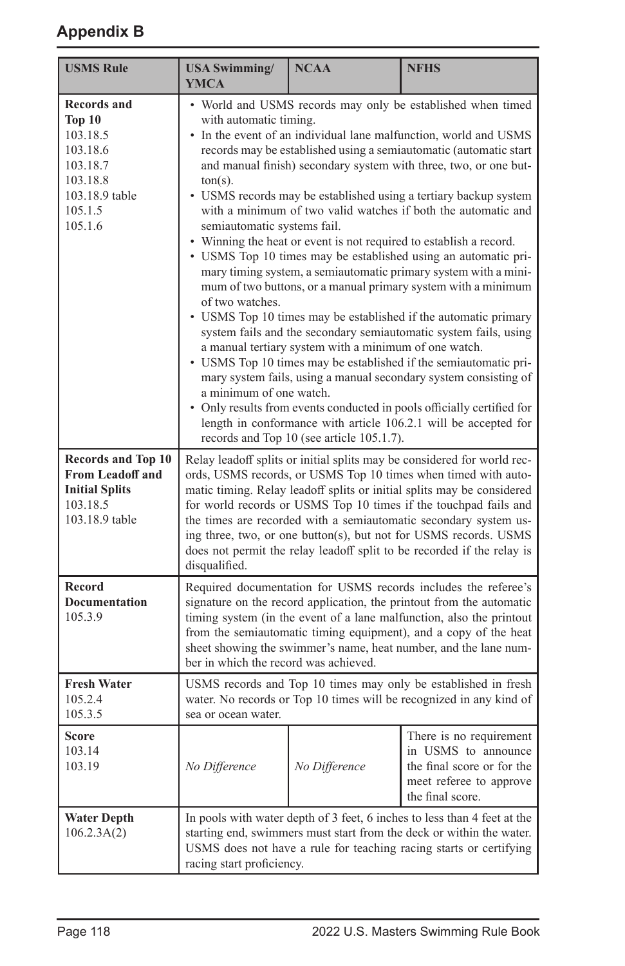| <b>USMS Rule</b>                                                                                                            | <b>USA Swimming/</b><br><b>YMCA</b>                                                                                                                                                                                                                                                                                                                                                                                                                                                                                                                                                                                                                                                                                                                                                                                                                                                                                                                                                                                                                                                                                                                                                                                                                                                                                                              | <b>NCAA</b>   | <b>NFHS</b>                                                                                                                                                                                                            |  |  |
|-----------------------------------------------------------------------------------------------------------------------------|--------------------------------------------------------------------------------------------------------------------------------------------------------------------------------------------------------------------------------------------------------------------------------------------------------------------------------------------------------------------------------------------------------------------------------------------------------------------------------------------------------------------------------------------------------------------------------------------------------------------------------------------------------------------------------------------------------------------------------------------------------------------------------------------------------------------------------------------------------------------------------------------------------------------------------------------------------------------------------------------------------------------------------------------------------------------------------------------------------------------------------------------------------------------------------------------------------------------------------------------------------------------------------------------------------------------------------------------------|---------------|------------------------------------------------------------------------------------------------------------------------------------------------------------------------------------------------------------------------|--|--|
| <b>Records and</b><br><b>Top 10</b><br>103.18.5<br>103.18.6<br>103.18.7<br>103.18.8<br>103.18.9 table<br>105.1.5<br>105.1.6 | • World and USMS records may only be established when timed<br>with automatic timing.<br>• In the event of an individual lane malfunction, world and USMS<br>records may be established using a semiautomatic (automatic start<br>and manual finish) secondary system with three, two, or one but-<br>$ton(s)$ .<br>• USMS records may be established using a tertiary backup system<br>with a minimum of two valid watches if both the automatic and<br>semiautomatic systems fail.<br>• Winning the heat or event is not required to establish a record.<br>• USMS Top 10 times may be established using an automatic pri-<br>mary timing system, a semiautomatic primary system with a mini-<br>mum of two buttons, or a manual primary system with a minimum<br>of two watches.<br>• USMS Top 10 times may be established if the automatic primary<br>system fails and the secondary semiautomatic system fails, using<br>a manual tertiary system with a minimum of one watch.<br>• USMS Top 10 times may be established if the semiautomatic pri-<br>mary system fails, using a manual secondary system consisting of<br>a minimum of one watch.<br>• Only results from events conducted in pools officially certified for<br>length in conformance with article 106.2.1 will be accepted for<br>records and Top 10 (see article 105.1.7). |               |                                                                                                                                                                                                                        |  |  |
| <b>Records and Top 10</b><br><b>From Leadoff and</b><br><b>Initial Splits</b><br>103.18.5<br>103.18.9 table                 | Relay leadoff splits or initial splits may be considered for world rec-<br>ords, USMS records, or USMS Top 10 times when timed with auto-<br>matic timing. Relay leadoff splits or initial splits may be considered<br>for world records or USMS Top 10 times if the touchpad fails and<br>the times are recorded with a semiautomatic secondary system us-<br>ing three, two, or one button(s), but not for USMS records. USMS<br>does not permit the relay leadoff split to be recorded if the relay is<br>disqualified.                                                                                                                                                                                                                                                                                                                                                                                                                                                                                                                                                                                                                                                                                                                                                                                                                       |               |                                                                                                                                                                                                                        |  |  |
| <b>Record</b><br><b>Documentation</b><br>105.3.9                                                                            | Required documentation for USMS records includes the referee's<br>signature on the record application, the printout from the automatic<br>timing system (in the event of a lane malfunction, also the printout<br>from the semiautomatic timing equipment), and a copy of the heat<br>sheet showing the swimmer's name, heat number, and the lane num-<br>ber in which the record was achieved.                                                                                                                                                                                                                                                                                                                                                                                                                                                                                                                                                                                                                                                                                                                                                                                                                                                                                                                                                  |               |                                                                                                                                                                                                                        |  |  |
| <b>Fresh Water</b><br>105.2.4<br>105.3.5                                                                                    | sea or ocean water.                                                                                                                                                                                                                                                                                                                                                                                                                                                                                                                                                                                                                                                                                                                                                                                                                                                                                                                                                                                                                                                                                                                                                                                                                                                                                                                              |               | USMS records and Top 10 times may only be established in fresh<br>water. No records or Top 10 times will be recognized in any kind of                                                                                  |  |  |
| Score<br>103.14<br>103.19                                                                                                   | No Difference                                                                                                                                                                                                                                                                                                                                                                                                                                                                                                                                                                                                                                                                                                                                                                                                                                                                                                                                                                                                                                                                                                                                                                                                                                                                                                                                    | No Difference | There is no requirement<br>in USMS to announce<br>the final score or for the<br>meet referee to approve<br>the final score.                                                                                            |  |  |
| <b>Water Depth</b><br>106.2.3A(2)                                                                                           | racing start proficiency.                                                                                                                                                                                                                                                                                                                                                                                                                                                                                                                                                                                                                                                                                                                                                                                                                                                                                                                                                                                                                                                                                                                                                                                                                                                                                                                        |               | In pools with water depth of 3 feet, 6 inches to less than 4 feet at the<br>starting end, swimmers must start from the deck or within the water.<br>USMS does not have a rule for teaching racing starts or certifying |  |  |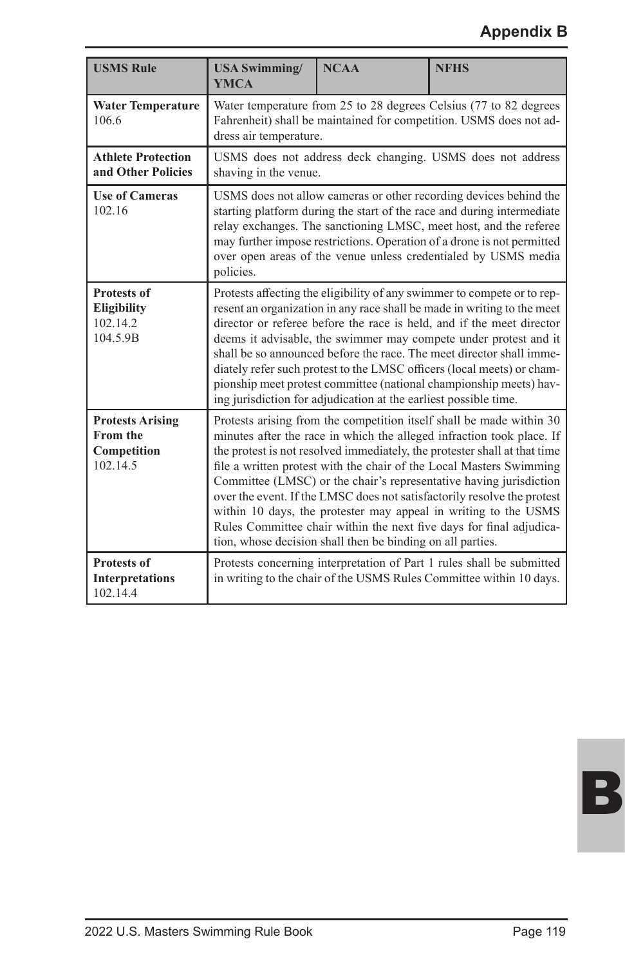| <b>USMS Rule</b>                                                      | <b>USA Swimming/</b><br><b>YMCA</b>                                                                                                                                                                                                                                                                                                                                                                                                                                                                                                                                                         | <b>NCAA</b>                                                                         | <b>NFHS</b>                                                                                                                                                                                                                                                                                                                                                                                                                                                                                                                                                                                  |  |  |  |  |
|-----------------------------------------------------------------------|---------------------------------------------------------------------------------------------------------------------------------------------------------------------------------------------------------------------------------------------------------------------------------------------------------------------------------------------------------------------------------------------------------------------------------------------------------------------------------------------------------------------------------------------------------------------------------------------|-------------------------------------------------------------------------------------|----------------------------------------------------------------------------------------------------------------------------------------------------------------------------------------------------------------------------------------------------------------------------------------------------------------------------------------------------------------------------------------------------------------------------------------------------------------------------------------------------------------------------------------------------------------------------------------------|--|--|--|--|
| <b>Water Temperature</b><br>106.6                                     | dress air temperature.                                                                                                                                                                                                                                                                                                                                                                                                                                                                                                                                                                      |                                                                                     | Water temperature from 25 to 28 degrees Celsius (77 to 82 degrees<br>Fahrenheit) shall be maintained for competition. USMS does not ad-                                                                                                                                                                                                                                                                                                                                                                                                                                                      |  |  |  |  |
| <b>Athlete Protection</b><br>and Other Policies                       |                                                                                                                                                                                                                                                                                                                                                                                                                                                                                                                                                                                             | USMS does not address deck changing. USMS does not address<br>shaving in the venue. |                                                                                                                                                                                                                                                                                                                                                                                                                                                                                                                                                                                              |  |  |  |  |
| <b>Use of Cameras</b><br>102.16                                       | USMS does not allow cameras or other recording devices behind the<br>starting platform during the start of the race and during intermediate<br>relay exchanges. The sanctioning LMSC, meet host, and the referee<br>may further impose restrictions. Operation of a drone is not permitted<br>over open areas of the venue unless credentialed by USMS media<br>policies.                                                                                                                                                                                                                   |                                                                                     |                                                                                                                                                                                                                                                                                                                                                                                                                                                                                                                                                                                              |  |  |  |  |
| <b>Protests of</b><br><b>Eligibility</b><br>102.14.2<br>104.5.9B      | Protests affecting the eligibility of any swimmer to compete or to rep-<br>resent an organization in any race shall be made in writing to the meet<br>director or referee before the race is held, and if the meet director<br>deems it advisable, the swimmer may compete under protest and it<br>shall be so announced before the race. The meet director shall imme-<br>diately refer such protest to the LMSC officers (local meets) or cham-<br>pionship meet protest committee (national championship meets) hav-<br>ing jurisdiction for adjudication at the earliest possible time. |                                                                                     |                                                                                                                                                                                                                                                                                                                                                                                                                                                                                                                                                                                              |  |  |  |  |
| <b>Protests Arising</b><br><b>From the</b><br>Competition<br>102.14.5 |                                                                                                                                                                                                                                                                                                                                                                                                                                                                                                                                                                                             | tion, whose decision shall then be binding on all parties.                          | Protests arising from the competition itself shall be made within 30<br>minutes after the race in which the alleged infraction took place. If<br>the protest is not resolved immediately, the protester shall at that time<br>file a written protest with the chair of the Local Masters Swimming<br>Committee (LMSC) or the chair's representative having jurisdiction<br>over the event. If the LMSC does not satisfactorily resolve the protest<br>within 10 days, the protester may appeal in writing to the USMS<br>Rules Committee chair within the next five days for final adjudica- |  |  |  |  |
| <b>Protests of</b><br><b>Interpretations</b><br>102.14.4              |                                                                                                                                                                                                                                                                                                                                                                                                                                                                                                                                                                                             |                                                                                     | Protests concerning interpretation of Part 1 rules shall be submitted<br>in writing to the chair of the USMS Rules Committee within 10 days.                                                                                                                                                                                                                                                                                                                                                                                                                                                 |  |  |  |  |

B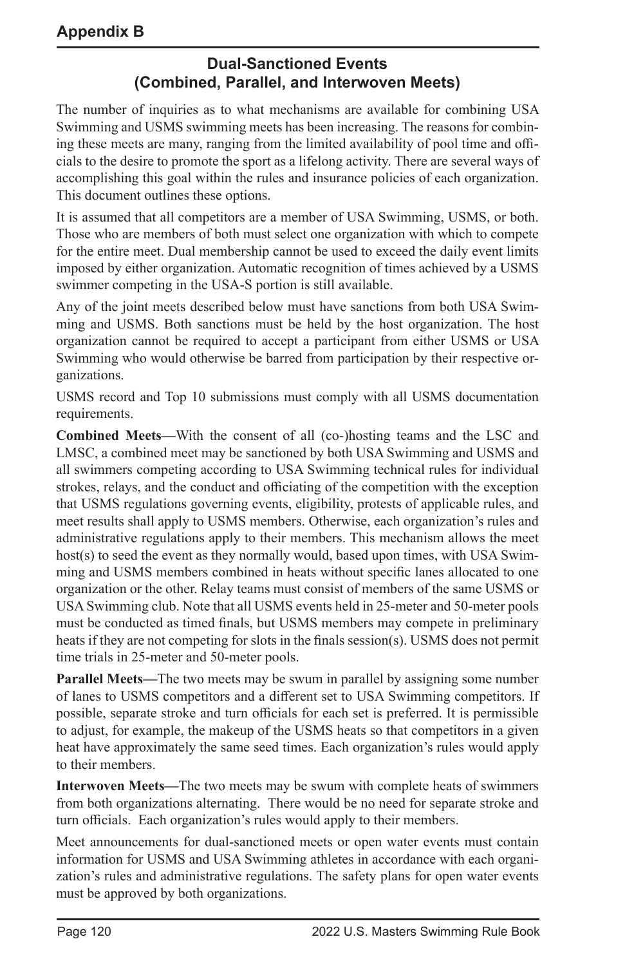## **Dual-Sanctioned Events (Combined, Parallel, and Interwoven Meets)**

The number of inquiries as to what mechanisms are available for combining USA Swimming and USMS swimming meets has been increasing. The reasons for combining these meets are many, ranging from the limited availability of pool time and officials to the desire to promote the sport as a lifelong activity. There are several ways of accomplishing this goal within the rules and insurance policies of each organization. This document outlines these options.

It is assumed that all competitors are a member of USA Swimming, USMS, or both. Those who are members of both must select one organization with which to compete for the entire meet. Dual membership cannot be used to exceed the daily event limits imposed by either organization. Automatic recognition of times achieved by a USMS swimmer competing in the USA-S portion is still available.

Any of the joint meets described below must have sanctions from both USA Swimming and USMS. Both sanctions must be held by the host organization. The host organization cannot be required to accept a participant from either USMS or USA Swimming who would otherwise be barred from participation by their respective organizations.

USMS record and Top 10 submissions must comply with all USMS documentation requirements.

**Combined Meets—**With the consent of all (co-)hosting teams and the LSC and LMSC, a combined meet may be sanctioned by both USA Swimming and USMS and all swimmers competing according to USA Swimming technical rules for individual strokes, relays, and the conduct and officiating of the competition with the exception that USMS regulations governing events, eligibility, protests of applicable rules, and meet results shall apply to USMS members. Otherwise, each organization's rules and administrative regulations apply to their members. This mechanism allows the meet host(s) to seed the event as they normally would, based upon times, with USA Swimming and USMS members combined in heats without specific lanes allocated to one organization or the other. Relay teams must consist of members of the same USMS or USA Swimming club. Note that all USMS events held in 25-meter and 50-meter pools must be conducted as timed finals, but USMS members may compete in preliminary heats if they are not competing for slots in the finals session(s). USMS does not permit time trials in 25-meter and 50-meter pools.

**Parallel Meets—**The two meets may be swum in parallel by assigning some number of lanes to USMS competitors and a different set to USA Swimming competitors. If possible, separate stroke and turn officials for each set is preferred. It is permissible to adjust, for example, the makeup of the USMS heats so that competitors in a given heat have approximately the same seed times. Each organization's rules would apply to their members.

**Interwoven Meets—**The two meets may be swum with complete heats of swimmers from both organizations alternating. There would be no need for separate stroke and turn officials. Each organization's rules would apply to their members.

Meet announcements for dual-sanctioned meets or open water events must contain information for USMS and USA Swimming athletes in accordance with each organization's rules and administrative regulations. The safety plans for open water events must be approved by both organizations.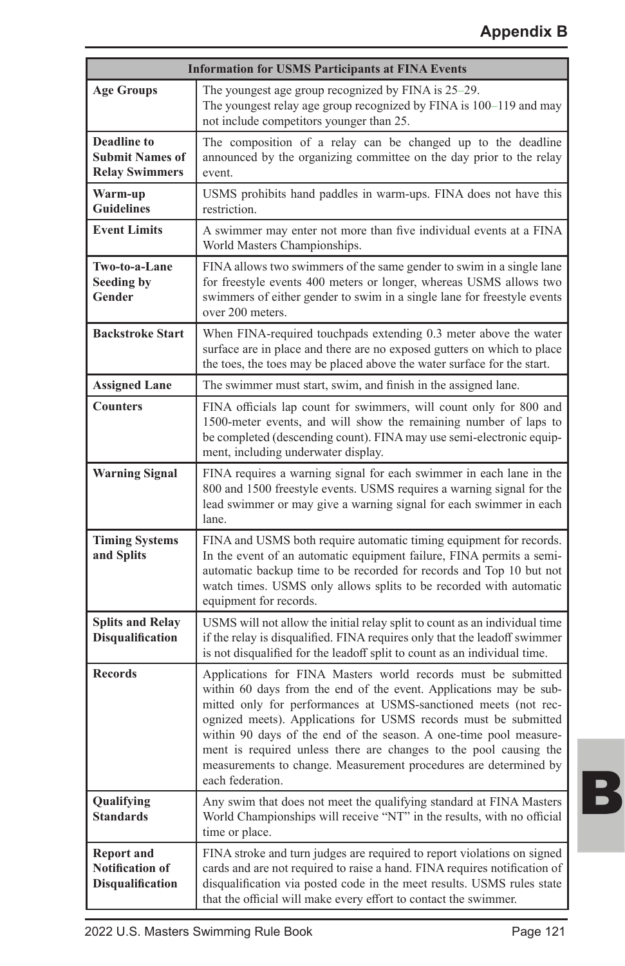| <b>Information for USMS Participants at FINA Events</b>                |                                                                                                                                                                                                                                                                                                                                                                                                                                                                                                             |  |  |  |  |  |
|------------------------------------------------------------------------|-------------------------------------------------------------------------------------------------------------------------------------------------------------------------------------------------------------------------------------------------------------------------------------------------------------------------------------------------------------------------------------------------------------------------------------------------------------------------------------------------------------|--|--|--|--|--|
| <b>Age Groups</b>                                                      | The youngest age group recognized by FINA is 25-29.<br>The youngest relay age group recognized by FINA is 100–119 and may<br>not include competitors younger than 25.                                                                                                                                                                                                                                                                                                                                       |  |  |  |  |  |
| <b>Deadline to</b><br><b>Submit Names of</b><br><b>Relay Swimmers</b>  | The composition of a relay can be changed up to the deadline<br>announced by the organizing committee on the day prior to the relay<br>event.                                                                                                                                                                                                                                                                                                                                                               |  |  |  |  |  |
| Warm-up<br><b>Guidelines</b>                                           | USMS prohibits hand paddles in warm-ups. FINA does not have this<br>restriction.                                                                                                                                                                                                                                                                                                                                                                                                                            |  |  |  |  |  |
| <b>Event Limits</b>                                                    | A swimmer may enter not more than five individual events at a FINA<br>World Masters Championships.                                                                                                                                                                                                                                                                                                                                                                                                          |  |  |  |  |  |
| Two-to-a-Lane<br><b>Seeding by</b><br>Gender                           | FINA allows two swimmers of the same gender to swim in a single lane<br>for freestyle events 400 meters or longer, whereas USMS allows two<br>swimmers of either gender to swim in a single lane for freestyle events<br>over 200 meters.                                                                                                                                                                                                                                                                   |  |  |  |  |  |
| <b>Backstroke Start</b>                                                | When FINA-required touchpads extending 0.3 meter above the water<br>surface are in place and there are no exposed gutters on which to place<br>the toes, the toes may be placed above the water surface for the start.                                                                                                                                                                                                                                                                                      |  |  |  |  |  |
| <b>Assigned Lane</b>                                                   | The swimmer must start, swim, and finish in the assigned lane.                                                                                                                                                                                                                                                                                                                                                                                                                                              |  |  |  |  |  |
| <b>Counters</b>                                                        | FINA officials lap count for swimmers, will count only for 800 and<br>1500-meter events, and will show the remaining number of laps to<br>be completed (descending count). FINA may use semi-electronic equip-<br>ment, including underwater display.                                                                                                                                                                                                                                                       |  |  |  |  |  |
| <b>Warning Signal</b>                                                  | FINA requires a warning signal for each swimmer in each lane in the<br>800 and 1500 freestyle events. USMS requires a warning signal for the<br>lead swimmer or may give a warning signal for each swimmer in each<br>lane.                                                                                                                                                                                                                                                                                 |  |  |  |  |  |
| <b>Timing Systems</b><br>and Splits                                    | FINA and USMS both require automatic timing equipment for records.<br>In the event of an automatic equipment failure, FINA permits a semi-<br>automatic backup time to be recorded for records and Top 10 but not<br>watch times. USMS only allows splits to be recorded with automatic<br>equipment for records.                                                                                                                                                                                           |  |  |  |  |  |
| <b>Splits and Relay</b><br><b>Disqualification</b>                     | USMS will not allow the initial relay split to count as an individual time<br>if the relay is disqualified. FINA requires only that the leadoff swimmer<br>is not disqualified for the leadoff split to count as an individual time.                                                                                                                                                                                                                                                                        |  |  |  |  |  |
| <b>Records</b>                                                         | Applications for FINA Masters world records must be submitted<br>within 60 days from the end of the event. Applications may be sub-<br>mitted only for performances at USMS-sanctioned meets (not rec-<br>ognized meets). Applications for USMS records must be submitted<br>within 90 days of the end of the season. A one-time pool measure-<br>ment is required unless there are changes to the pool causing the<br>measurements to change. Measurement procedures are determined by<br>each federation. |  |  |  |  |  |
| Qualifying<br><b>Standards</b>                                         | Any swim that does not meet the qualifying standard at FINA Masters<br>World Championships will receive "NT" in the results, with no official<br>time or place.                                                                                                                                                                                                                                                                                                                                             |  |  |  |  |  |
| <b>Report and</b><br><b>Notification of</b><br><b>Disqualification</b> | FINA stroke and turn judges are required to report violations on signed<br>cards and are not required to raise a hand. FINA requires notification of<br>disqualification via posted code in the meet results. USMS rules state<br>that the official will make every effort to contact the swimmer.                                                                                                                                                                                                          |  |  |  |  |  |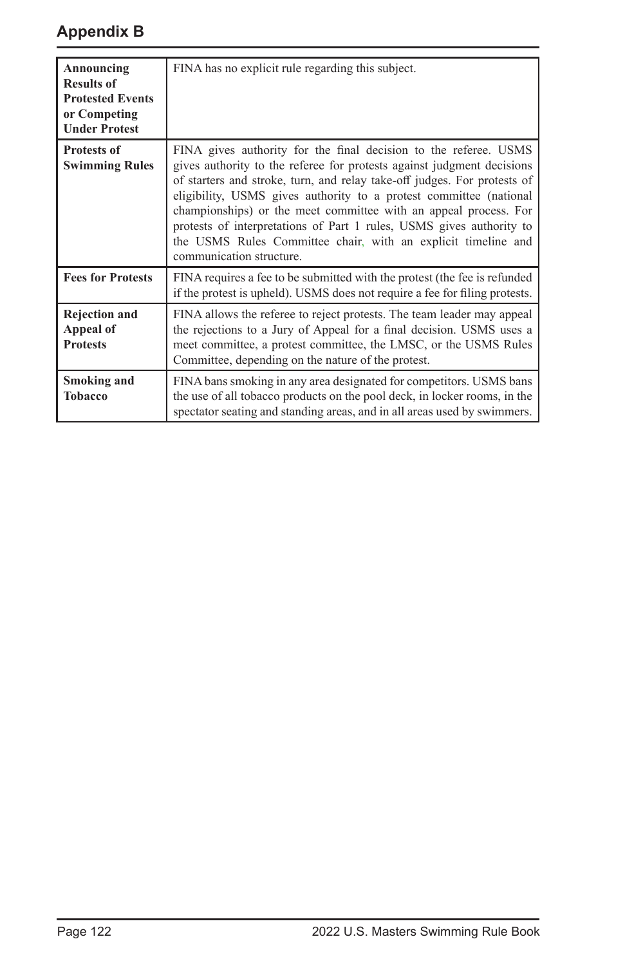| Announcing<br><b>Results of</b><br><b>Protested Events</b><br>or Competing<br><b>Under Protest</b> | FINA has no explicit rule regarding this subject.                                                                                                                                                                                                                                                                                                                                                                                                                                                                                     |
|----------------------------------------------------------------------------------------------------|---------------------------------------------------------------------------------------------------------------------------------------------------------------------------------------------------------------------------------------------------------------------------------------------------------------------------------------------------------------------------------------------------------------------------------------------------------------------------------------------------------------------------------------|
| <b>Protests of</b><br><b>Swimming Rules</b>                                                        | FINA gives authority for the final decision to the referee. USMS<br>gives authority to the referee for protests against judgment decisions<br>of starters and stroke, turn, and relay take-off judges. For protests of<br>eligibility, USMS gives authority to a protest committee (national<br>championships) or the meet committee with an appeal process. For<br>protests of interpretations of Part 1 rules, USMS gives authority to<br>the USMS Rules Committee chair, with an explicit timeline and<br>communication structure. |
| <b>Fees for Protests</b>                                                                           | FINA requires a fee to be submitted with the protest (the fee is refunded<br>if the protest is upheld). USMS does not require a fee for filing protests.                                                                                                                                                                                                                                                                                                                                                                              |
| <b>Rejection and</b><br>Appeal of<br><b>Protests</b>                                               | FINA allows the referee to reject protests. The team leader may appeal<br>the rejections to a Jury of Appeal for a final decision. USMS uses a<br>meet committee, a protest committee, the LMSC, or the USMS Rules<br>Committee, depending on the nature of the protest.                                                                                                                                                                                                                                                              |
| <b>Smoking and</b><br><b>Tobacco</b>                                                               | FINA bans smoking in any area designated for competitors. USMS bans<br>the use of all tobacco products on the pool deck, in locker rooms, in the<br>spectator seating and standing areas, and in all areas used by swimmers.                                                                                                                                                                                                                                                                                                          |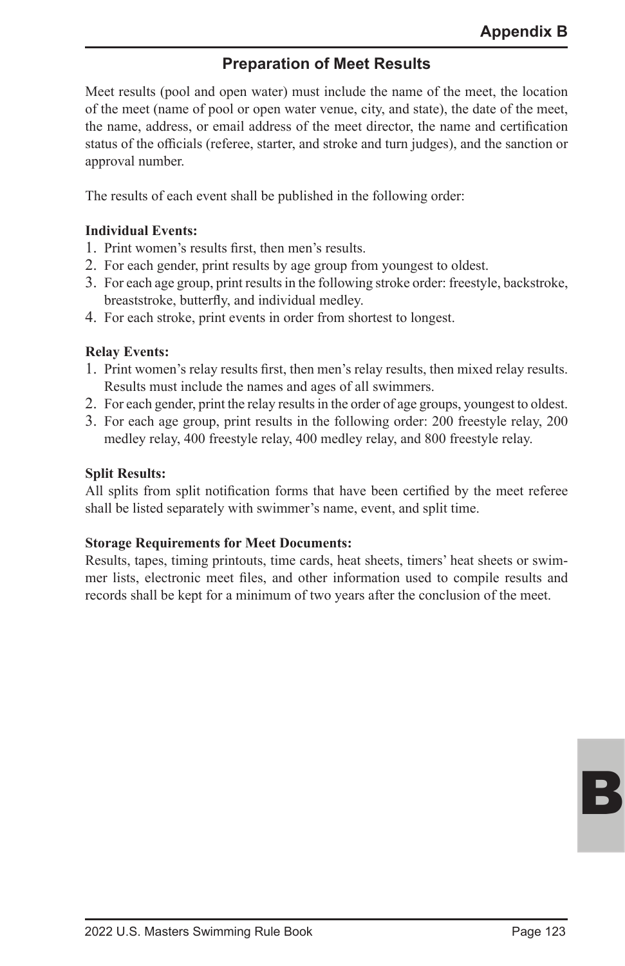## **Preparation of Meet Results**

Meet results (pool and open water) must include the name of the meet, the location of the meet (name of pool or open water venue, city, and state), the date of the meet, the name, address, or email address of the meet director, the name and certification status of the officials (referee, starter, and stroke and turn judges), and the sanction or approval number.

The results of each event shall be published in the following order:

#### **Individual Events:**

- 1. Print women's results first, then men's results.
- 2. For each gender, print results by age group from youngest to oldest.
- 3. For each age group, print results in the following stroke order: freestyle, backstroke, breaststroke, butterfly, and individual medley.
- 4. For each stroke, print events in order from shortest to longest.

#### **Relay Events:**

- 1. Print women's relay results first, then men's relay results, then mixed relay results. Results must include the names and ages of all swimmers.
- 2. For each gender, print the relay results in the order of age groups, youngest to oldest.
- 3. For each age group, print results in the following order: 200 freestyle relay, 200 medley relay, 400 freestyle relay, 400 medley relay, and 800 freestyle relay.

#### **Split Results:**

All splits from split notification forms that have been certified by the meet referee shall be listed separately with swimmer's name, event, and split time.

#### **Storage Requirements for Meet Documents:**

Results, tapes, timing printouts, time cards, heat sheets, timers' heat sheets or swimmer lists, electronic meet files, and other information used to compile results and records shall be kept for a minimum of two years after the conclusion of the meet.

B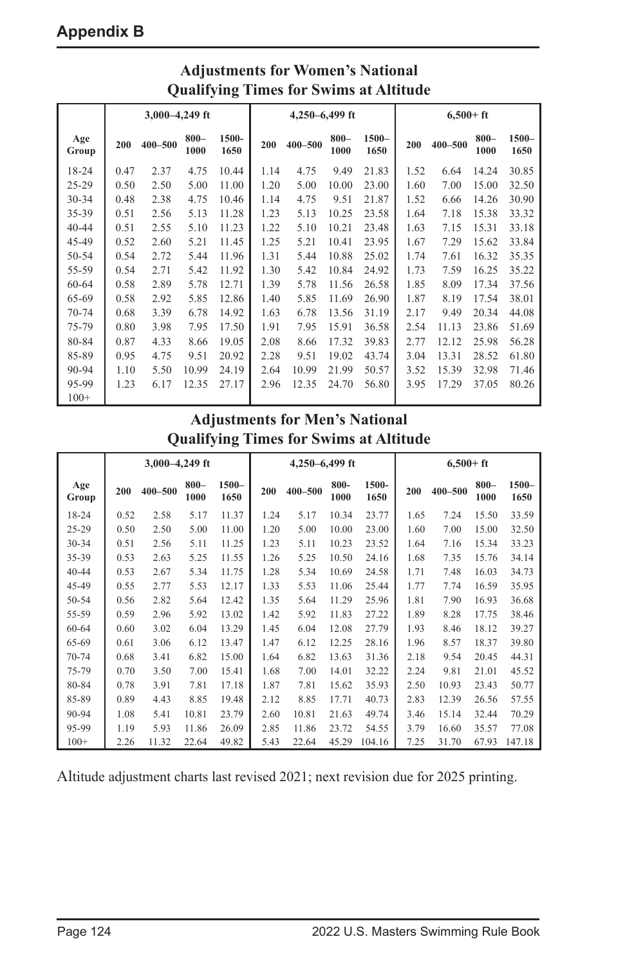| Qualitying Thines for Swims at Altitude |                    |         |                 |               |      |                |                 |                  |      |              |                 |                  |
|-----------------------------------------|--------------------|---------|-----------------|---------------|------|----------------|-----------------|------------------|------|--------------|-----------------|------------------|
|                                         | $3,000 - 4,249$ ft |         |                 |               |      | 4,250-6,499 ft |                 |                  |      | $6,500 + ft$ |                 |                  |
| Age<br>Group                            | 200                | 400-500 | $800 -$<br>1000 | 1500-<br>1650 | 200  | 400-500        | $800 -$<br>1000 | $1500 -$<br>1650 | 200  | 400-500      | $800 -$<br>1000 | $1500 -$<br>1650 |
| 18-24                                   | 0.47               | 2.37    | 4.75            | 10.44         | 1.14 | 4.75           | 9.49            | 21.83            | 1.52 | 6.64         | 14.24           | 30.85            |
| $25 - 29$                               | 0.50               | 2.50    | 5.00            | 11.00         | 1.20 | 5.00           | 10.00           | 23.00            | 1.60 | 7.00         | 15.00           | 32.50            |
| $30 - 34$                               | 0.48               | 2.38    | 4.75            | 10.46         | 1.14 | 4.75           | 9.51            | 21.87            | 1.52 | 6.66         | 14.26           | 30.90            |
| 35-39                                   | 0.51               | 2.56    | 5.13            | 11.28         | 1.23 | 5.13           | 10.25           | 23.58            | 1.64 | 7.18         | 15.38           | 33.32            |
| $40 - 44$                               | 0.51               | 2.55    | 5.10            | 11.23         | 1.22 | 5.10           | 10.21           | 23.48            | 1.63 | 7.15         | 15.31           | 33.18            |
| 45-49                                   | 0.52               | 2.60    | 5.21            | 11.45         | 1.25 | 5.21           | 10.41           | 23.95            | 1.67 | 7.29         | 15.62           | 33.84            |
| 50-54                                   | 0.54               | 2.72    | 5.44            | 11.96         | 1.31 | 5.44           | 10.88           | 25.02            | 1.74 | 7.61         | 16.32           | 35.35            |
| 55-59                                   | 0.54               | 2.71    | 5.42            | 11.92         | 1.30 | 5.42           | 10.84           | 24.92            | 1.73 | 7.59         | 16.25           | 35.22            |
| 60-64                                   | 0.58               | 2.89    | 5.78            | 12.71         | 1.39 | 5.78           | 11.56           | 26.58            | 1.85 | 8.09         | 17.34           | 37.56            |
| 65-69                                   | 0.58               | 2.92    | 5.85            | 12.86         | 1.40 | 5.85           | 11.69           | 26.90            | 1.87 | 8.19         | 17.54           | 38.01            |
| $70 - 74$                               | 0.68               | 3.39    | 6.78            | 14.92         | 1.63 | 6.78           | 13.56           | 31.19            | 2.17 | 9.49         | 20.34           | 44.08            |
| 75-79                                   | 0.80               | 3.98    | 7.95            | 17.50         | 1.91 | 7.95           | 15.91           | 36.58            | 2.54 | 11.13        | 23.86           | 51.69            |
| 80-84                                   | 0.87               | 4.33    | 8.66            | 19.05         | 2.08 | 8.66           | 17.32           | 39.83            | 2.77 | 12.12        | 25.98           | 56.28            |
| 85-89                                   | 0.95               | 4.75    | 9.51            | 20.92         | 2.28 | 9.51           | 19.02           | 43.74            | 3.04 | 13.31        | 28.52           | 61.80            |
| 90-94                                   | 1.10               | 5.50    | 10.99           | 24.19         | 2.64 | 10.99          | 21.99           | 50.57            | 3.52 | 15.39        | 32.98           | 71.46            |
| 95-99                                   | 1.23               | 6.17    | 12.35           | 27.17         | 2.96 | 12.35          | 24.70           | 56.80            | 3.95 | 17.29        | 37.05           | 80.26            |
| $100+$                                  |                    |         |                 |               |      |                |                 |                  |      |              |                 |                  |

## **Adjustments for Women's National Qualifying Times for Swims at Altitude**

## **Adjustments for Men's National Qualifying Times for Swims at Altitude**

|              | $3,000 - 4,249$ ft |             |                 |                  | 4,250-6,499 ft |             |                 |               | $6,500 + ft$ |         |                 |                  |
|--------------|--------------------|-------------|-----------------|------------------|----------------|-------------|-----------------|---------------|--------------|---------|-----------------|------------------|
| Age<br>Group | 200                | $400 - 500$ | $800 -$<br>1000 | $1500 -$<br>1650 | 200            | $400 - 500$ | $800 -$<br>1000 | 1500-<br>1650 | 200          | 400-500 | $800 -$<br>1000 | $1500 -$<br>1650 |
| $18 - 24$    | 0.52               | 2.58        | 5.17            | 11.37            | 1.24           | 5.17        | 10.34           | 23.77         | 1.65         | 7.24    | 15.50           | 33.59            |
| $25 - 29$    | 0.50               | 2.50        | 5.00            | 11.00            | 1.20           | 5.00        | 10.00           | 23.00         | 1.60         | 7.00    | 15.00           | 32.50            |
| $30 - 34$    | 0.51               | 2.56        | 5.11            | 11.25            | 1.23           | 5.11        | 10.23           | 23.52         | 1.64         | 7.16    | 15.34           | 33.23            |
| 35-39        | 0.53               | 2.63        | 5.25            | 11.55            | 1.26           | 5.25        | 10.50           | 24.16         | 1.68         | 7.35    | 15.76           | 34.14            |
| $40 - 44$    | 0.53               | 2.67        | 5.34            | 11.75            | 1.28           | 5.34        | 10.69           | 24.58         | 1.71         | 7.48    | 16.03           | 34.73            |
| 45-49        | 0.55               | 2.77        | 5.53            | 12.17            | 1.33           | 5.53        | 11.06           | 25.44         | 1.77         | 7.74    | 16.59           | 35.95            |
| $50 - 54$    | 0.56               | 2.82        | 5.64            | 12.42            | 1.35           | 5.64        | 11.29           | 25.96         | 1.81         | 7.90    | 16.93           | 36.68            |
| 55-59        | 0.59               | 2.96        | 5.92            | 13.02            | 1.42           | 5.92        | 11.83           | 27.22         | 1.89         | 8.28    | 17.75           | 38.46            |
| 60-64        | 0.60               | 3.02        | 6.04            | 13.29            | 1.45           | 6.04        | 12.08           | 27.79         | 1.93         | 8.46    | 18.12           | 39.27            |
| 65-69        | 0.61               | 3.06        | 6.12            | 13.47            | 1.47           | 6.12        | 12.25           | 28.16         | 1.96         | 8.57    | 18.37           | 39.80            |
| $70 - 74$    | 0.68               | 3.41        | 6.82            | 15.00            | 1.64           | 6.82        | 13.63           | 31.36         | 2.18         | 9.54    | 20.45           | 44.31            |
| 75-79        | 0.70               | 3.50        | 7.00            | 15.41            | 1.68           | 7.00        | 14.01           | 32.22         | 2.24         | 9.81    | 21.01           | 45.52            |
| 80-84        | 0.78               | 3.91        | 7.81            | 17.18            | 1.87           | 7.81        | 15.62           | 35.93         | 2.50         | 10.93   | 23.43           | 50.77            |
| 85-89        | 0.89               | 4.43        | 8.85            | 19.48            | 2.12           | 8.85        | 17.71           | 40.73         | 2.83         | 12.39   | 26.56           | 57.55            |
| 90-94        | 1.08               | 5.41        | 10.81           | 23.79            | 2.60           | 10.81       | 21.63           | 49.74         | 3.46         | 15.14   | 32.44           | 70.29            |
| 95-99        | 1.19               | 5.93        | 11.86           | 26.09            | 2.85           | 11.86       | 23.72           | 54.55         | 3.79         | 16.60   | 35.57           | 77.08            |
| $100+$       | 2.26               | 11.32       | 22.64           | 49.82            | 5.43           | 22.64       | 45.29           | 104.16        | 7.25         | 31.70   | 67.93           | 147.18           |

Altitude adjustment charts last revised 2021; next revision due for 2025 printing.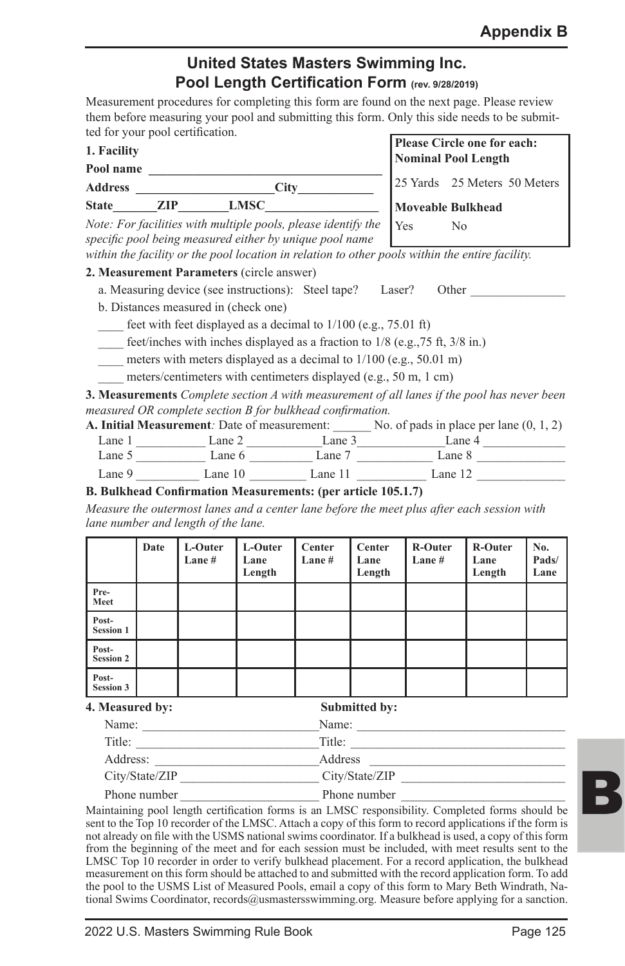## **United States Masters Swimming Inc. Pool Length Certification Form (rev. 9/28/2019)**

Measurement procedures for completing this form are found on the next page. Please review them before measuring your pool and submitting this form. Only this side needs to be submitted for your pool certification.

| 1. Facility    |     |             |  |
|----------------|-----|-------------|--|
| Pool name      |     |             |  |
| <b>Address</b> |     | City        |  |
| <b>State</b>   | ZIP | <b>LMSC</b> |  |

**Please Circle one for each: Nominal Pool Length** 25 Yards 25 Meters 50 Meters

**Moveable Bulkhead** Yes No

*Note: For facilities with multiple pools, please identify the specific pool being measured either by unique pool name within the facility or the pool location in relation to other pools within the entire facility.*

#### **2. Measurement Parameters** (circle answer)

- a. Measuring device (see instructions): Steel tape? Laser? Other
- b. Distances measured in (check one)
- feet with feet displayed as a decimal to  $1/100$  (e.g., 75.01 ft)
- feet/inches with inches displayed as a fraction to  $1/8$  (e.g., 75 ft,  $3/8$  in.)
- meters with meters displayed as a decimal to  $1/100$  (e.g., 50.01 m)
- meters/centimeters with centimeters displayed (e.g., 50 m, 1 cm)

**3. Measurements** *Complete section A with measurement of all lanes if the pool has never been measured OR complete section B for bulkhead confirmation.*

| <b>A. Initial Measurement</b> : Date of measurement: |         |         | No. of pads in place per lane $(0, 1, 2)$ |  |
|------------------------------------------------------|---------|---------|-------------------------------------------|--|
| Lane 1                                               | Lane 2  | Lane 3  | Lane 4                                    |  |
| Lane 5                                               | Lane 6  | Lane 7  | Lane 8                                    |  |
| Lane 9                                               | Lane 10 | Lane 11 | Lane $12$                                 |  |

#### **B. Bulkhead Confirmation Measurements: (per article 105.1.7)**

*Measure the outermost lanes and a center lane before the meet plus after each session with lane number and length of the lane.*

|                           | Date | L-Outer<br>Lane $#$ | L-Outer<br>Lane<br>Length | Center<br>Lane # | Center<br>Lane<br>Length | R-Outer<br>Lane # | R-Outer<br>Lane<br>Length | No.<br>Pads/<br>Lane |
|---------------------------|------|---------------------|---------------------------|------------------|--------------------------|-------------------|---------------------------|----------------------|
| Pre-<br>Meet              |      |                     |                           |                  |                          |                   |                           |                      |
| Post-<br><b>Session 1</b> |      |                     |                           |                  |                          |                   |                           |                      |
| Post-<br><b>Session 2</b> |      |                     |                           |                  |                          |                   |                           |                      |
| Post-<br><b>Session 3</b> |      |                     |                           |                  |                          |                   |                           |                      |

#### **4. Measured by: Submitted by:**

| Name:          | Name:          |  |
|----------------|----------------|--|
| Title:         | Title:         |  |
| Address:       | Address        |  |
| City/State/ZIP | City/State/ZIP |  |
| Phone number   | Phone number   |  |

Maintaining pool length certification forms is an LMSC responsibility. Completed forms should be sent to the Top 10 recorder of the LMSC. Attach a copy of this form to record applications if the form is not already on file with the USMS national swims coordinator. If a bulkhead is used, a copy of this form from the beginning of the meet and for each session must be included, with meet results sent to the LMSC Top 10 recorder in order to verify bulkhead placement. For a record application, the bulkhead measurement on this form should be attached to and submitted with the record application form. To add the pool to the USMS List of Measured Pools, email a copy of this form to Mary Beth Windrath, National Swims Coordinator, records@usmastersswimming.org. Measure before applying for a sanction.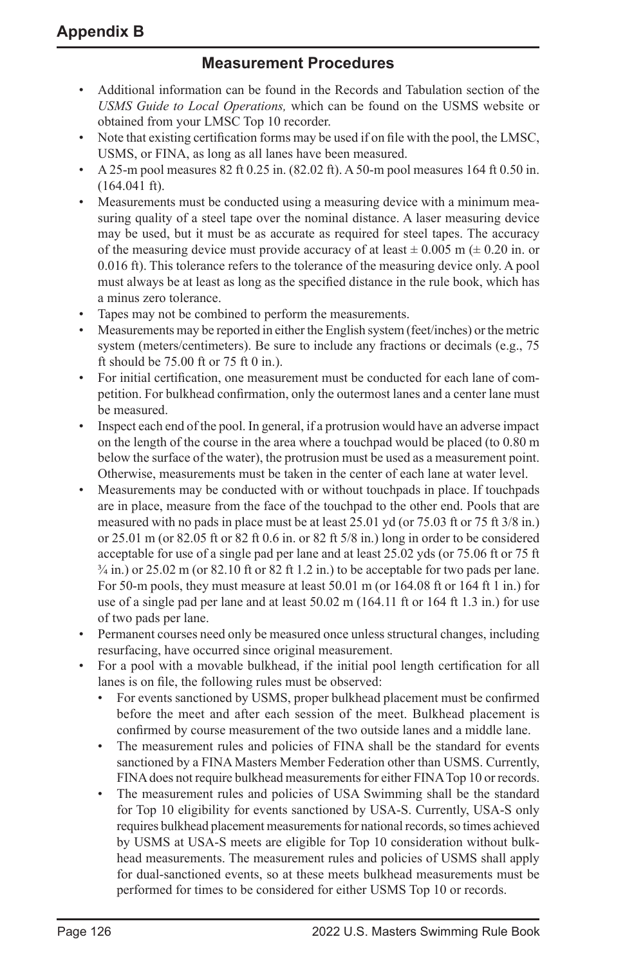#### **Measurement Procedures**

- Additional information can be found in the Records and Tabulation section of the *USMS Guide to Local Operations,* which can be found on the USMS website or obtained from your LMSC Top 10 recorder.
- Note that existing certification forms may be used if on file with the pool, the LMSC, USMS, or FINA, as long as all lanes have been measured.
- A 25-m pool measures 82 ft 0.25 in. (82.02 ft). A 50-m pool measures 164 ft 0.50 in.  $(164.041 \text{ ft})$ .
- Measurements must be conducted using a measuring device with a minimum measuring quality of a steel tape over the nominal distance. A laser measuring device may be used, but it must be as accurate as required for steel tapes. The accuracy of the measuring device must provide accuracy of at least  $\pm 0.005$  m ( $\pm 0.20$  in. or 0.016 ft). This tolerance refers to the tolerance of the measuring device only. A pool must always be at least as long as the specified distance in the rule book, which has a minus zero tolerance.
- Tapes may not be combined to perform the measurements.
- Measurements may be reported in either the English system (feet/inches) or the metric system (meters/centimeters). Be sure to include any fractions or decimals (e.g., 75 ft should be 75.00 ft or 75 ft 0 in.).
- For initial certification, one measurement must be conducted for each lane of competition. For bulkhead confirmation, only the outermost lanes and a center lane must be measured.
- Inspect each end of the pool. In general, if a protrusion would have an adverse impact on the length of the course in the area where a touchpad would be placed (to 0.80 m below the surface of the water), the protrusion must be used as a measurement point. Otherwise, measurements must be taken in the center of each lane at water level.
- Measurements may be conducted with or without touchpads in place. If touchpads are in place, measure from the face of the touchpad to the other end. Pools that are measured with no pads in place must be at least 25.01 yd (or 75.03 ft or 75 ft 3/8 in.) or 25.01 m (or 82.05 ft or 82 ft 0.6 in. or 82 ft 5/8 in.) long in order to be considered acceptable for use of a single pad per lane and at least 25.02 yds (or 75.06 ft or 75 ft  $\frac{3}{4}$  in.) or 25.02 m (or 82.10 ft or 82 ft 1.2 in.) to be acceptable for two pads per lane. For 50-m pools, they must measure at least 50.01 m (or 164.08 ft or 164 ft 1 in.) for use of a single pad per lane and at least 50.02 m (164.11 ft or 164 ft 1.3 in.) for use of two pads per lane.
- Permanent courses need only be measured once unless structural changes, including resurfacing, have occurred since original measurement.
- For a pool with a movable bulkhead, if the initial pool length certification for all lanes is on file, the following rules must be observed:
	- For events sanctioned by USMS, proper bulkhead placement must be confirmed before the meet and after each session of the meet. Bulkhead placement is confirmed by course measurement of the two outside lanes and a middle lane.
	- The measurement rules and policies of FINA shall be the standard for events sanctioned by a FINA Masters Member Federation other than USMS. Currently, FINA does not require bulkhead measurements for either FINA Top 10 or records.
	- The measurement rules and policies of USA Swimming shall be the standard for Top 10 eligibility for events sanctioned by USA-S. Currently, USA-S only requires bulkhead placement measurements for national records, so times achieved by USMS at USA-S meets are eligible for Top 10 consideration without bulkhead measurements. The measurement rules and policies of USMS shall apply for dual-sanctioned events, so at these meets bulkhead measurements must be performed for times to be considered for either USMS Top 10 or records.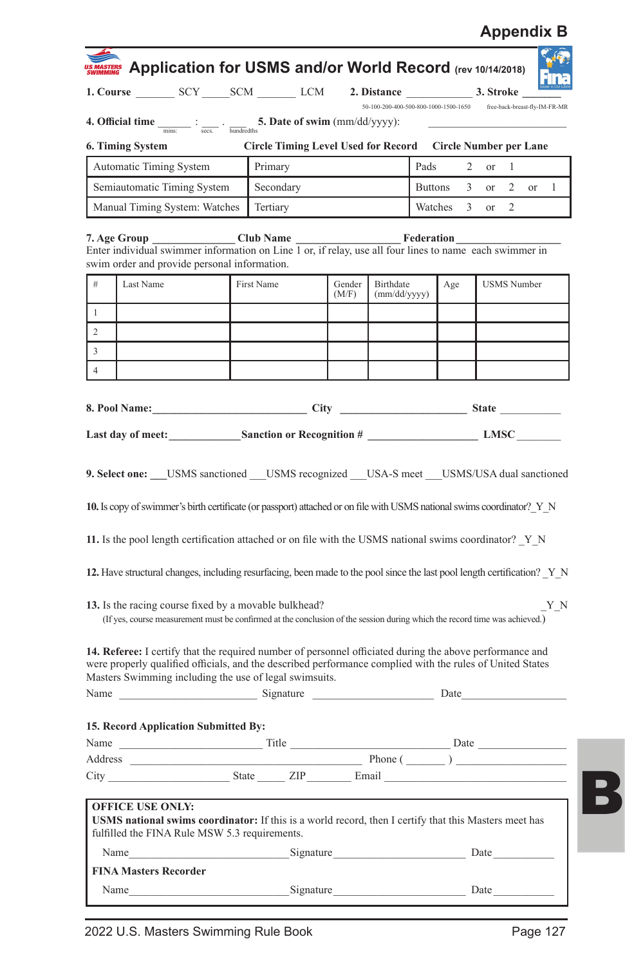| MASTERS Application for USMS and/or World Record (rev 10/14/2018)                                                                                                                                                                                                                                                      |                                                               |                                                             |                 |                                                                     |         |            |      |   |                    |     |
|------------------------------------------------------------------------------------------------------------------------------------------------------------------------------------------------------------------------------------------------------------------------------------------------------------------------|---------------------------------------------------------------|-------------------------------------------------------------|-----------------|---------------------------------------------------------------------|---------|------------|------|---|--------------------|-----|
| 1. Course _________ SCY ______ SCM ________ LCM                                                                                                                                                                                                                                                                        |                                                               |                                                             |                 | 2. Distance 3. Stroke                                               |         |            |      |   |                    |     |
|                                                                                                                                                                                                                                                                                                                        |                                                               |                                                             |                 | 50-100-200-400-500-800-1000-1500-1650 free-back-breast-fly-IM-FR-MR |         |            |      |   |                    |     |
| <b>4. Official time</b> $\frac{1}{\text{miss}}$ : $\frac{1}{\text{sess.}}$ $\frac{1}{\text{hundredths}}$ <b>5. Date of swim</b> (mm/dd/yyyy):                                                                                                                                                                          |                                                               |                                                             |                 |                                                                     |         |            |      |   |                    |     |
| 6. Timing System                                                                                                                                                                                                                                                                                                       |                                                               | Circle Timing Level Used for Record  Circle Number per Lane |                 |                                                                     |         |            |      |   |                    |     |
| Automatic Timing System                                                                                                                                                                                                                                                                                                | Primary<br>2<br>1<br>Pads<br>or                               |                                                             |                 |                                                                     |         |            |      |   |                    |     |
| Semiautomatic Timing System                                                                                                                                                                                                                                                                                            | Secondary<br>3<br>2<br>1<br><b>Buttons</b><br>or<br><b>or</b> |                                                             |                 |                                                                     |         |            |      |   |                    |     |
| Manual Timing System: Watches                                                                                                                                                                                                                                                                                          | Tertiary                                                      |                                                             |                 |                                                                     | Watches | 3          | or   | 2 |                    |     |
| Club Name<br>7. Age Group<br>Enter individual swimmer information on Line 1 or, if relay, use all four lines to name each swimmer in<br>swim order and provide personal information.                                                                                                                                   |                                                               |                                                             |                 |                                                                     |         | Federation |      |   |                    |     |
| #<br>Last Name                                                                                                                                                                                                                                                                                                         | First Name                                                    |                                                             | Gender<br>(M/F) | Birthdate<br>(mm/dd/yyyy)                                           |         | Age        |      |   | <b>USMS</b> Number |     |
| $\mathbf{1}$                                                                                                                                                                                                                                                                                                           |                                                               |                                                             |                 |                                                                     |         |            |      |   |                    |     |
| $\overline{c}$                                                                                                                                                                                                                                                                                                         |                                                               |                                                             |                 |                                                                     |         |            |      |   |                    |     |
| 3                                                                                                                                                                                                                                                                                                                      |                                                               |                                                             |                 |                                                                     |         |            |      |   |                    |     |
| $\overline{4}$                                                                                                                                                                                                                                                                                                         |                                                               |                                                             |                 |                                                                     |         |            |      |   |                    |     |
|                                                                                                                                                                                                                                                                                                                        |                                                               |                                                             |                 |                                                                     |         |            |      |   |                    |     |
| 8. Pool Name: City City State State                                                                                                                                                                                                                                                                                    |                                                               |                                                             |                 |                                                                     |         |            |      |   |                    |     |
| Last day of meet: Sanction or Recognition # LMSC                                                                                                                                                                                                                                                                       |                                                               |                                                             |                 |                                                                     |         |            |      |   |                    |     |
| 9. Select one: USMS sanctioned USMS recognized USA-S meet USMS/USA dual sanctioned<br>10. Is copy of swimmer's birth certificate (or passport) attached or on file with USMS national swims coordinator? Y N<br>11. Is the pool length certification attached or on file with the USMS national swims coordinator? Y N |                                                               |                                                             |                 |                                                                     |         |            |      |   |                    |     |
| 12. Have structural changes, including resurfacing, been made to the pool since the last pool length certification? Y N                                                                                                                                                                                                |                                                               |                                                             |                 |                                                                     |         |            |      |   |                    |     |
| 13. Is the racing course fixed by a movable bulkhead?<br>(If yes, course measurement must be confirmed at the conclusion of the session during which the record time was achieved.)                                                                                                                                    |                                                               |                                                             |                 |                                                                     |         |            |      |   |                    | Y N |
| 14. Referee: I certify that the required number of personnel officiated during the above performance and<br>were properly qualified officials, and the described performance complied with the rules of United States<br>Masters Swimming including the use of legal swimsuits.                                        |                                                               |                                                             |                 |                                                                     |         |            |      |   |                    |     |
| Name Signature Signature                                                                                                                                                                                                                                                                                               |                                                               |                                                             |                 |                                                                     |         | Date       |      |   |                    |     |
|                                                                                                                                                                                                                                                                                                                        |                                                               |                                                             |                 |                                                                     |         |            |      |   |                    |     |
| Name                                                                                                                                                                                                                                                                                                                   | 15. Record Application Submitted By:                          |                                                             |                 |                                                                     |         |            |      |   |                    |     |
|                                                                                                                                                                                                                                                                                                                        | Title<br>Date<br>Phone ()                                     |                                                             |                 |                                                                     |         |            |      |   |                    |     |
| City State ZIP Email                                                                                                                                                                                                                                                                                                   |                                                               |                                                             |                 |                                                                     |         |            |      |   |                    |     |
| <b>OFFICE USE ONLY:</b><br><b>USMS</b> national swims coordinator: If this is a world record, then I certify that this Masters meet has<br>fulfilled the FINA Rule MSW 5.3 requirements.                                                                                                                               |                                                               |                                                             |                 |                                                                     |         |            |      |   |                    |     |
| Name                                                                                                                                                                                                                                                                                                                   |                                                               |                                                             |                 | Signature Date                                                      |         |            |      |   |                    |     |
| <b>FINA Masters Recorder</b>                                                                                                                                                                                                                                                                                           |                                                               |                                                             |                 |                                                                     |         |            |      |   |                    |     |
| Name                                                                                                                                                                                                                                                                                                                   |                                                               | Signature                                                   |                 |                                                                     |         |            | Date |   |                    |     |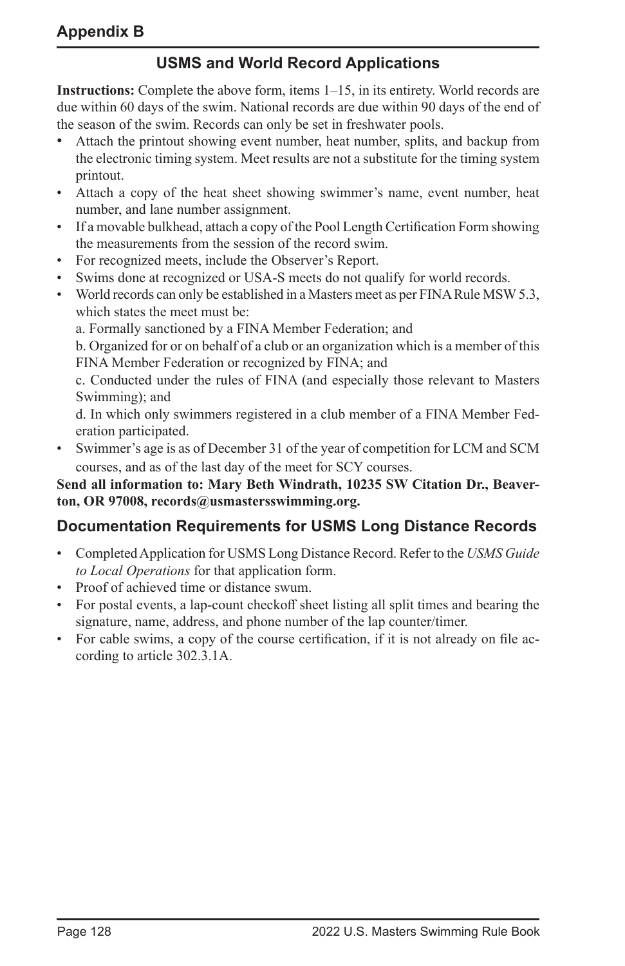## **USMS and World Record Applications**

**Instructions:** Complete the above form, items 1–15, in its entirety. World records are due within 60 days of the swim. National records are due within 90 days of the end of the season of the swim. Records can only be set in freshwater pools.

- Attach the printout showing event number, heat number, splits, and backup from the electronic timing system. Meet results are not a substitute for the timing system printout.
- Attach a copy of the heat sheet showing swimmer's name, event number, heat number, and lane number assignment.
- If a movable bulkhead, attach a copy of the Pool Length Certification Form showing the measurements from the session of the record swim.
- For recognized meets, include the Observer's Report.
- Swims done at recognized or USA-S meets do not qualify for world records.
- World records can only be established in a Masters meet as per FINA Rule MSW5.3, which states the meet must be:

a. Formally sanctioned by a FINA Member Federation; and

b. Organized for or on behalf of a club or an organization which is a member of this FINA Member Federation or recognized by FINA; and

c. Conducted under the rules of FINA (and especially those relevant to Masters Swimming); and

d. In which only swimmers registered in a club member of a FINA Member Federation participated.

• Swimmer's age is as of December 31 of the year of competition for LCM and SCM courses, and as of the last day of the meet for SCY courses.

**Send all information to: Mary Beth Windrath, 10235 SW Citation Dr., Beaverton, OR 97008, records@usmastersswimming.org.**

## **Documentation Requirements for USMS Long Distance Records**

- Completed Application for USMS Long Distance Record. Refer to the *USMS Guide to Local Operations* for that application form.
- Proof of achieved time or distance swum.
- For postal events, a lap-count checkoff sheet listing all split times and bearing the signature, name, address, and phone number of the lap counter/timer.
- For cable swims, a copy of the course certification, if it is not already on file according to article 302.3.1A.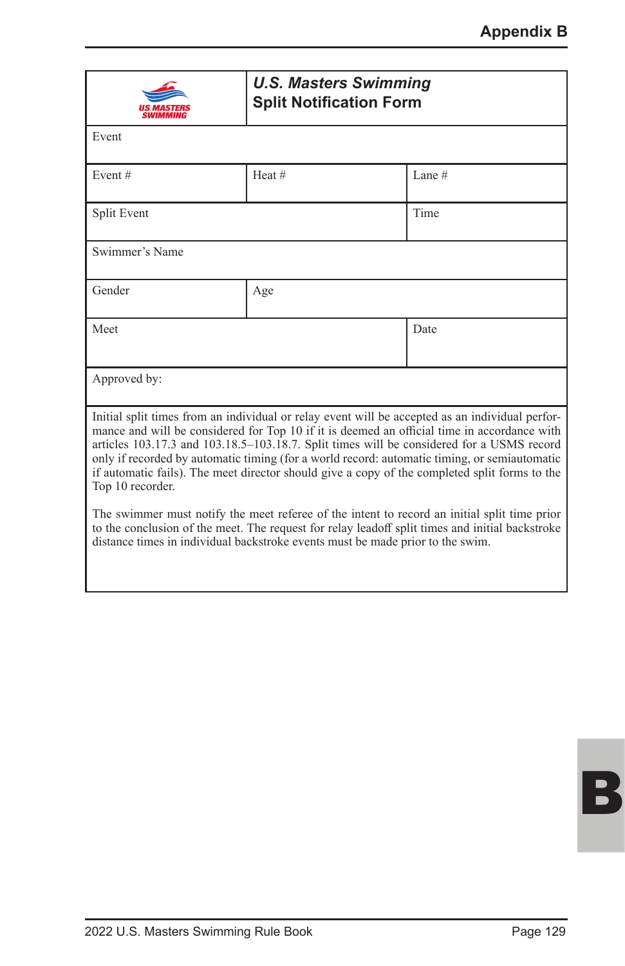| <b>U.S. Masters Swimming</b><br><b>Split Notification Form</b>                                                                                                                                                                                                                                                                                                                                                                                                                                                   |                   |      |  |  |  |
|------------------------------------------------------------------------------------------------------------------------------------------------------------------------------------------------------------------------------------------------------------------------------------------------------------------------------------------------------------------------------------------------------------------------------------------------------------------------------------------------------------------|-------------------|------|--|--|--|
| Event                                                                                                                                                                                                                                                                                                                                                                                                                                                                                                            |                   |      |  |  |  |
| Event#                                                                                                                                                                                                                                                                                                                                                                                                                                                                                                           | Heat#<br>Lane $#$ |      |  |  |  |
| Split Event                                                                                                                                                                                                                                                                                                                                                                                                                                                                                                      |                   | Time |  |  |  |
| Swimmer's Name                                                                                                                                                                                                                                                                                                                                                                                                                                                                                                   |                   |      |  |  |  |
| Gender                                                                                                                                                                                                                                                                                                                                                                                                                                                                                                           | Age               |      |  |  |  |
| Meet                                                                                                                                                                                                                                                                                                                                                                                                                                                                                                             |                   | Date |  |  |  |
| Approved by:                                                                                                                                                                                                                                                                                                                                                                                                                                                                                                     |                   |      |  |  |  |
| Initial split times from an individual or relay event will be accepted as an individual perfor-<br>mance and will be considered for Top 10 if it is deemed an official time in accordance with<br>articles 103.17.3 and 103.18.5-103.18.7. Split times will be considered for a USMS record<br>only if recorded by automatic timing (for a world record: automatic timing, or semiautomatic<br>if automatic fails). The meet director should give a copy of the completed split forms to the<br>Top 10 recorder. |                   |      |  |  |  |
| The swimmer must notify the meet referee of the intent to record an initial split time prior<br>to the conclusion of the meet. The request for relay leadoff split times and initial backstroke<br>distance times in individual backstroke events must be made prior to the swim.                                                                                                                                                                                                                                |                   |      |  |  |  |

B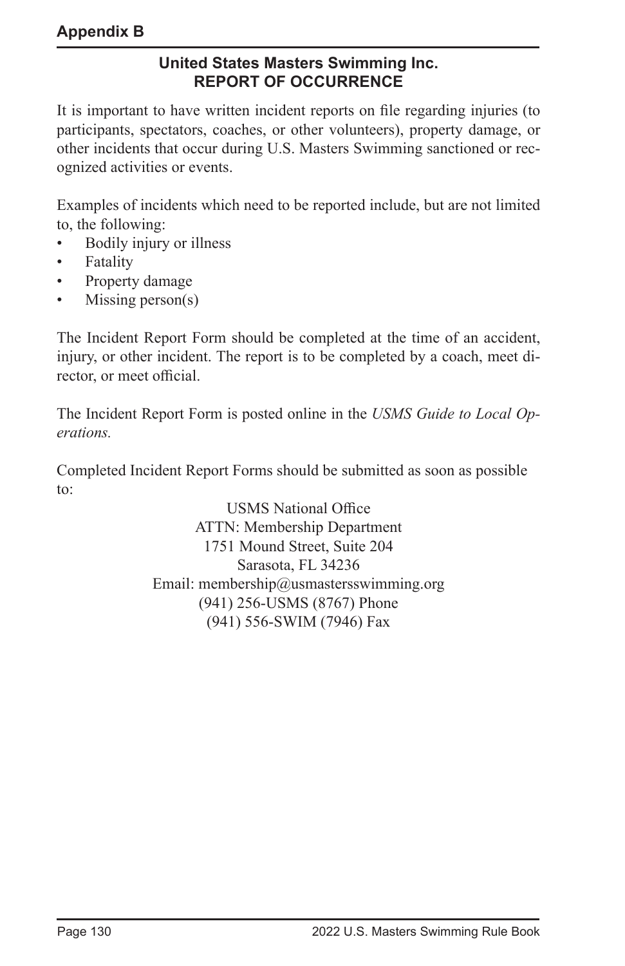## **United States Masters Swimming Inc. REPORT OF OCCURRENCE**

It is important to have written incident reports on file regarding injuries (to participants, spectators, coaches, or other volunteers), property damage, or other incidents that occur during U.S. Masters Swimming sanctioned or recognized activities or events.

Examples of incidents which need to be reported include, but are not limited to, the following:

- Bodily injury or illness
- **Fatality**
- Property damage
- Missing person $(s)$

The Incident Report Form should be completed at the time of an accident, injury, or other incident. The report is to be completed by a coach, meet director, or meet official.

The Incident Report Form is posted online in the *USMS Guide to Local Operations.*

Completed Incident Report Forms should be submitted as soon as possible to:

> USMS National Office ATTN: Membership Department 1751 Mound Street, Suite 204 Sarasota, FL 34236 Email: membership@usmastersswimming.org (941) 256-USMS (8767) Phone (941) 556-SWIM (7946) Fax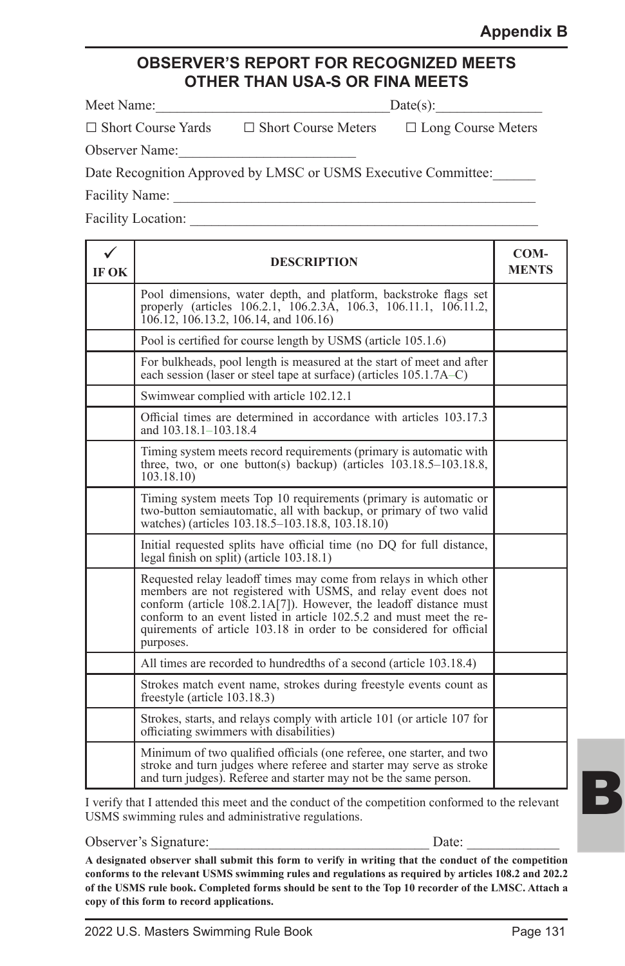## **OBSERVER'S REPORT FOR RECOGNIZED MEETS OTHER THAN USA-S OR FINA MEETS**

| Meet Name: | $Date(s)$ : |
|------------|-------------|
|------------|-------------|

□ Short Course Yards □ Short Course Meters □ Long Course Meters

Observer Name:

Date Recognition Approved by LMSC or USMS Executive Committee:

Facility Name:

Facility Location:

| IF OK | <b>DESCRIPTION</b>                                                                                                                                                                                                                                                                                                                                                                |  |  |  |  |
|-------|-----------------------------------------------------------------------------------------------------------------------------------------------------------------------------------------------------------------------------------------------------------------------------------------------------------------------------------------------------------------------------------|--|--|--|--|
|       | Pool dimensions, water depth, and platform, backstroke flags set<br>properly (articles 106.2.1, 106.2.3A, 106.3, 106.11.1, 106.11.2,<br>106.12, 106.13.2, 106.14, and 106.16)                                                                                                                                                                                                     |  |  |  |  |
|       | Pool is certified for course length by USMS (article 105.1.6)                                                                                                                                                                                                                                                                                                                     |  |  |  |  |
|       | For bulkheads, pool length is measured at the start of meet and after<br>each session (laser or steel tape at surface) (articles 105.1.7A–C)                                                                                                                                                                                                                                      |  |  |  |  |
|       | Swimwear complied with article 102.12.1                                                                                                                                                                                                                                                                                                                                           |  |  |  |  |
|       | Official times are determined in accordance with articles 103.17.3<br>and 103.18.1-103.18.4                                                                                                                                                                                                                                                                                       |  |  |  |  |
|       | Timing system meets record requirements (primary is automatic with<br>three, two, or one button(s) backup) (articles $103.18.5 - 103.18.8$ ,<br>103.18.10                                                                                                                                                                                                                         |  |  |  |  |
|       | Timing system meets Top 10 requirements (primary is automatic or<br>two-button semiautomatic, all with backup, or primary of two valid<br>watches) (articles 103.18.5–103.18.8, 103.18.10)                                                                                                                                                                                        |  |  |  |  |
|       | Initial requested splits have official time (no DQ for full distance,<br>legal finish on split) (article 103.18.1)                                                                                                                                                                                                                                                                |  |  |  |  |
|       | Requested relay leadoff times may come from relays in which other<br>members are not registered with USMS, and relay event does not<br>conform (article $10\overline{8}.2.1A[7]$ ). However, the leadoff distance must<br>conform to an event listed in article 102.5.2 and must meet the re-<br>quirements of article 103.18 in order to be considered for official<br>purposes. |  |  |  |  |
|       | All times are recorded to hundredths of a second (article 103.18.4)                                                                                                                                                                                                                                                                                                               |  |  |  |  |
|       | Strokes match event name, strokes during freestyle events count as<br>freestyle (article 103.18.3)                                                                                                                                                                                                                                                                                |  |  |  |  |
|       | Strokes, starts, and relays comply with article 101 (or article 107 for<br>officiating swimmers with disabilities)                                                                                                                                                                                                                                                                |  |  |  |  |
|       | Minimum of two qualified officials (one referee, one starter, and two<br>stroke and turn judges where referee and starter may serve as stroke<br>and turn judges). Referee and starter may not be the same person.                                                                                                                                                                |  |  |  |  |

I verify that I attended this meet and the conduct of the competition conformed to the relevant USMS swimming rules and administrative regulations.

Observer's Signature:\_\_\_\_\_\_\_\_\_\_\_\_\_\_\_\_\_\_\_\_\_\_\_\_\_\_\_\_\_\_\_ Date: \_\_\_\_\_\_\_\_\_\_\_\_\_

**A designated observer shall submit this form to verify in writing that the conduct of the competition conforms to the relevant USMS swimming rules and regulations as required by articles 108.2 and 202.2 of the USMS rule book. Completed forms should be sent to the Top 10 recorder of the LMSC. Attach a copy of this form to record applications.**